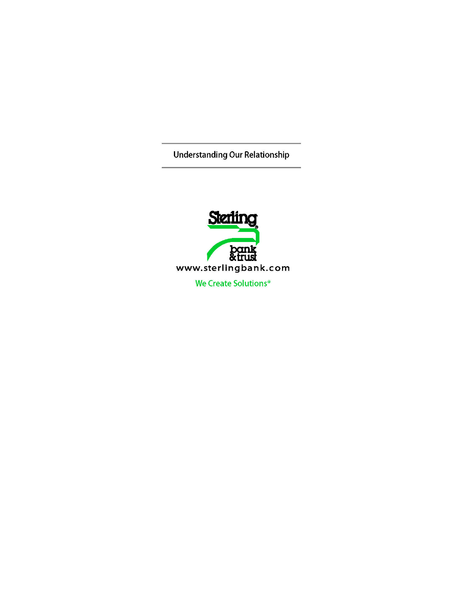**Understanding Our Relationship** 

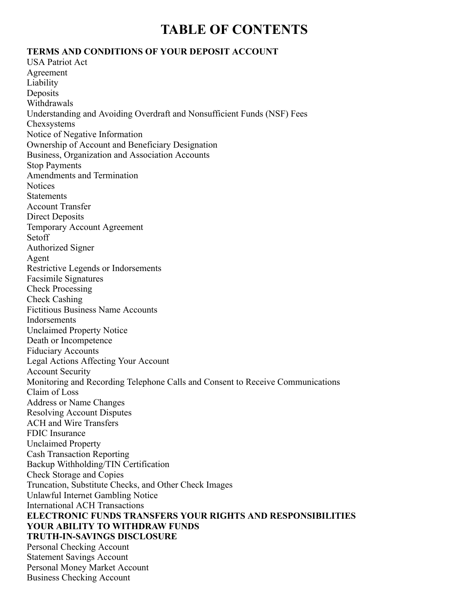# **TABLE OF CONTENTS**

#### **TERMS AND CONDITIONS OF YOUR DEPOSIT ACCOUNT**

USA Patriot Act Agreement Liability Deposits Withdrawals Understanding and Avoiding Overdraft and Nonsufficient Funds (NSF) Fees Chexsystems Notice of Negative Information Ownership of Account and Beneficiary Designation Business, Organization and Association Accounts Stop Payments Amendments and Termination **Notices Statements** Account Transfer Direct Deposits Temporary Account Agreement Setoff Authorized Signer Agent Restrictive Legends or Indorsements Facsimile Signatures Check Processing Check Cashing Fictitious Business Name Accounts Indorsements Unclaimed Property Notice Death or Incompetence Fiduciary Accounts Legal Actions Affecting Your Account Account Security Monitoring and Recording Telephone Calls and Consent to Receive Communications Claim of Loss Address or Name Changes Resolving Account Disputes ACH and Wire Transfers FDIC Insurance Unclaimed Property Cash Transaction Reporting Backup Withholding/TIN Certification Check Storage and Copies Truncation, Substitute Checks, and Other Check Images Unlawful Internet Gambling Notice International ACH Transactions **ELECTRONIC FUNDS TRANSFERS YOUR RIGHTS AND RESPONSIBILITIES YOUR ABILITY TO WITHDRAW FUNDS TRUTH-IN-SAVINGS DISCLOSURE** Personal Checking Account Statement Savings Account Personal Money Market Account

Business Checking Account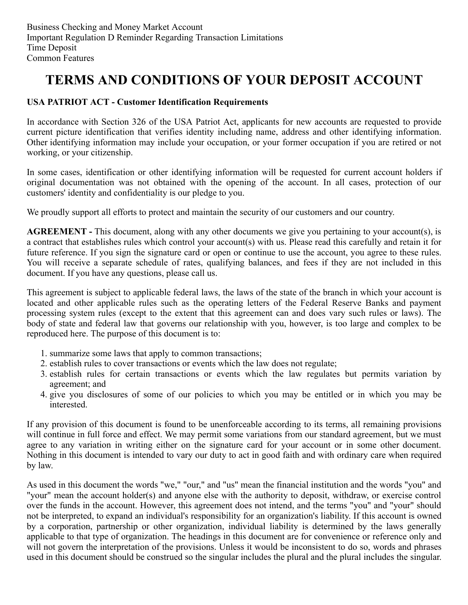# **TERMS AND CONDITIONS OF YOUR DEPOSIT ACCOUNT**

## **USA PATRIOT ACT - Customer Identification Requirements**

In accordance with Section 326 of the USA Patriot Act, applicants for new accounts are requested to provide current picture identification that verifies identity including name, address and other identifying information. Other identifying information may include your occupation, or your former occupation if you are retired or not working, or your citizenship.

In some cases, identification or other identifying information will be requested for current account holders if original documentation was not obtained with the opening of the account. In all cases, protection of our customers' identity and confidentiality is our pledge to you.

We proudly support all efforts to protect and maintain the security of our customers and our country.

**AGREEMENT -** This document, along with any other documents we give you pertaining to your account(s), is a contract that establishes rules which control your account(s) with us. Please read this carefully and retain it for future reference. If you sign the signature card or open or continue to use the account, you agree to these rules. You will receive a separate schedule of rates, qualifying balances, and fees if they are not included in this document. If you have any questions, please call us.

This agreement is subject to applicable federal laws, the laws of the state of the branch in which your account is located and other applicable rules such as the operating letters of the Federal Reserve Banks and payment processing system rules (except to the extent that this agreement can and does vary such rules or laws). The body of state and federal law that governs our relationship with you, however, is too large and complex to be reproduced here. The purpose of this document is to:

- 1. summarize some laws that apply to common transactions;
- 2. establish rules to cover transactions or events which the law does not regulate;
- 3. establish rules for certain transactions or events which the law regulates but permits variation by agreement; and
- 4. give you disclosures of some of our policies to which you may be entitled or in which you may be interested.

If any provision of this document is found to be unenforceable according to its terms, all remaining provisions will continue in full force and effect. We may permit some variations from our standard agreement, but we must agree to any variation in writing either on the signature card for your account or in some other document. Nothing in this document is intended to vary our duty to act in good faith and with ordinary care when required by law.

As used in this document the words "we," "our," and "us" mean the financial institution and the words "you" and "your" mean the account holder(s) and anyone else with the authority to deposit, withdraw, or exercise control over the funds in the account. However, this agreement does not intend, and the terms "you" and "your" should not be interpreted, to expand an individual's responsibility for an organization's liability. If this account is owned by a corporation, partnership or other organization, individual liability is determined by the laws generally applicable to that type of organization. The headings in this document are for convenience or reference only and will not govern the interpretation of the provisions. Unless it would be inconsistent to do so, words and phrases used in this document should be construed so the singular includes the plural and the plural includes the singular.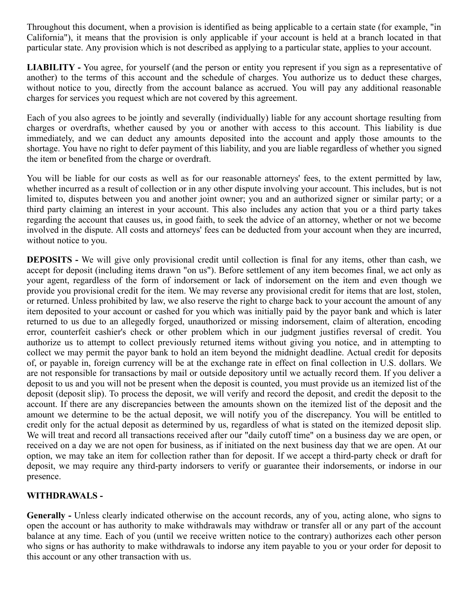Throughout this document, when a provision is identified as being applicable to a certain state (for example, "in California"), it means that the provision is only applicable if your account is held at a branch located in that particular state. Any provision which is not described as applying to a particular state, applies to your account.

**LIABILITY -** You agree, for yourself (and the person or entity you represent if you sign as a representative of another) to the terms of this account and the schedule of charges. You authorize us to deduct these charges, without notice to you, directly from the account balance as accrued. You will pay any additional reasonable charges for services you request which are not covered by this agreement.

Each of you also agrees to be jointly and severally (individually) liable for any account shortage resulting from charges or overdrafts, whether caused by you or another with access to this account. This liability is due immediately, and we can deduct any amounts deposited into the account and apply those amounts to the shortage. You have no right to defer payment of this liability, and you are liable regardless of whether you signed the item or benefited from the charge or overdraft.

You will be liable for our costs as well as for our reasonable attorneys' fees, to the extent permitted by law, whether incurred as a result of collection or in any other dispute involving your account. This includes, but is not limited to, disputes between you and another joint owner; you and an authorized signer or similar party; or a third party claiming an interest in your account. This also includes any action that you or a third party takes regarding the account that causes us, in good faith, to seek the advice of an attorney, whether or not we become involved in the dispute. All costs and attorneys' fees can be deducted from your account when they are incurred, without notice to you.

**DEPOSITS -** We will give only provisional credit until collection is final for any items, other than cash, we accept for deposit (including items drawn "on us"). Before settlement of any item becomes final, we act only as your agent, regardless of the form of indorsement or lack of indorsement on the item and even though we provide you provisional credit for the item. We may reverse any provisional credit for items that are lost, stolen, or returned. Unless prohibited by law, we also reserve the right to charge back to your account the amount of any item deposited to your account or cashed for you which was initially paid by the payor bank and which is later returned to us due to an allegedly forged, unauthorized or missing indorsement, claim of alteration, encoding error, counterfeit cashier's check or other problem which in our judgment justifies reversal of credit. You authorize us to attempt to collect previously returned items without giving you notice, and in attempting to collect we may permit the payor bank to hold an item beyond the midnight deadline. Actual credit for deposits of, or payable in, foreign currency will be at the exchange rate in effect on final collection in U.S. dollars. We are not responsible for transactions by mail or outside depository until we actually record them. If you deliver a deposit to us and you will not be present when the deposit is counted, you must provide us an itemized list of the deposit (deposit slip). To process the deposit, we will verify and record the deposit, and credit the deposit to the account. If there are any discrepancies between the amounts shown on the itemized list of the deposit and the amount we determine to be the actual deposit, we will notify you of the discrepancy. You will be entitled to credit only for the actual deposit as determined by us, regardless of what is stated on the itemized deposit slip. We will treat and record all transactions received after our "daily cutoff time" on a business day we are open, or received on a day we are not open for business, as if initiated on the next business day that we are open. At our option, we may take an item for collection rather than for deposit. If we accept a third-party check or draft for deposit, we may require any third-party indorsers to verify or guarantee their indorsements, or indorse in our presence.

## **WITHDRAWALS -**

**Generally -** Unless clearly indicated otherwise on the account records, any of you, acting alone, who signs to open the account or has authority to make withdrawals may withdraw or transfer all or any part of the account balance at any time. Each of you (until we receive written notice to the contrary) authorizes each other person who signs or has authority to make withdrawals to indorse any item payable to you or your order for deposit to this account or any other transaction with us.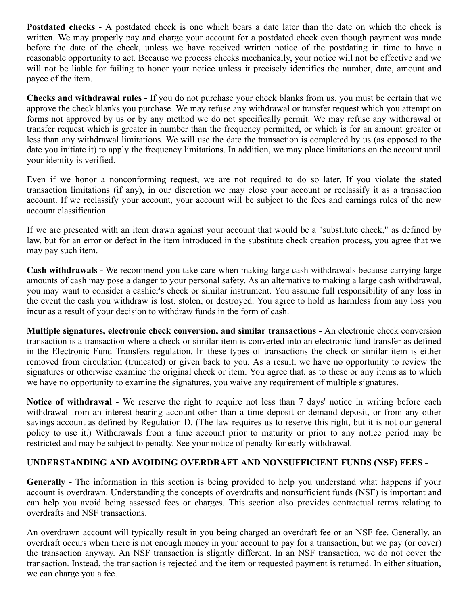**Postdated checks -** A postdated check is one which bears a date later than the date on which the check is written. We may properly pay and charge your account for a postdated check even though payment was made before the date of the check, unless we have received written notice of the postdating in time to have a reasonable opportunity to act. Because we process checks mechanically, your notice will not be effective and we will not be liable for failing to honor your notice unless it precisely identifies the number, date, amount and payee of the item.

**Checks and withdrawal rules -** If you do not purchase your check blanks from us, you must be certain that we approve the check blanks you purchase. We may refuse any withdrawal or transfer request which you attempt on forms not approved by us or by any method we do not specifically permit. We may refuse any withdrawal or transfer request which is greater in number than the frequency permitted, or which is for an amount greater or less than any withdrawal limitations. We will use the date the transaction is completed by us (as opposed to the date you initiate it) to apply the frequency limitations. In addition, we may place limitations on the account until your identity is verified.

Even if we honor a nonconforming request, we are not required to do so later. If you violate the stated transaction limitations (if any), in our discretion we may close your account or reclassify it as a transaction account. If we reclassify your account, your account will be subject to the fees and earnings rules of the new account classification.

If we are presented with an item drawn against your account that would be a "substitute check," as defined by law, but for an error or defect in the item introduced in the substitute check creation process, you agree that we may pay such item.

**Cash withdrawals -** We recommend you take care when making large cash withdrawals because carrying large amounts of cash may pose a danger to your personal safety. As an alternative to making a large cash withdrawal, you may want to consider a cashier's check or similar instrument. You assume full responsibility of any loss in the event the cash you withdraw is lost, stolen, or destroyed. You agree to hold us harmless from any loss you incur as a result of your decision to withdraw funds in the form of cash.

**Multiple signatures, electronic check conversion, and similar transactions -** An electronic check conversion transaction is a transaction where a check or similar item is converted into an electronic fund transfer as defined in the Electronic Fund Transfers regulation. In these types of transactions the check or similar item is either removed from circulation (truncated) or given back to you. As a result, we have no opportunity to review the signatures or otherwise examine the original check or item. You agree that, as to these or any items as to which we have no opportunity to examine the signatures, you waive any requirement of multiple signatures.

**Notice of withdrawal -** We reserve the right to require not less than 7 days' notice in writing before each withdrawal from an interest-bearing account other than a time deposit or demand deposit, or from any other savings account as defined by Regulation D. (The law requires us to reserve this right, but it is not our general policy to use it.) Withdrawals from a time account prior to maturity or prior to any notice period may be restricted and may be subject to penalty. See your notice of penalty for early withdrawal.

# **UNDERSTANDING AND AVOIDING OVERDRAFT AND NONSUFFICIENT FUNDS (NSF) FEES -**

**Generally -** The information in this section is being provided to help you understand what happens if your account is overdrawn. Understanding the concepts of overdrafts and nonsufficient funds (NSF) is important and can help you avoid being assessed fees or charges. This section also provides contractual terms relating to overdrafts and NSF transactions.

An overdrawn account will typically result in you being charged an overdraft fee or an NSF fee. Generally, an overdraft occurs when there is not enough money in your account to pay for a transaction, but we pay (or cover) the transaction anyway. An NSF transaction is slightly different. In an NSF transaction, we do not cover the transaction. Instead, the transaction is rejected and the item or requested payment is returned. In either situation, we can charge you a fee.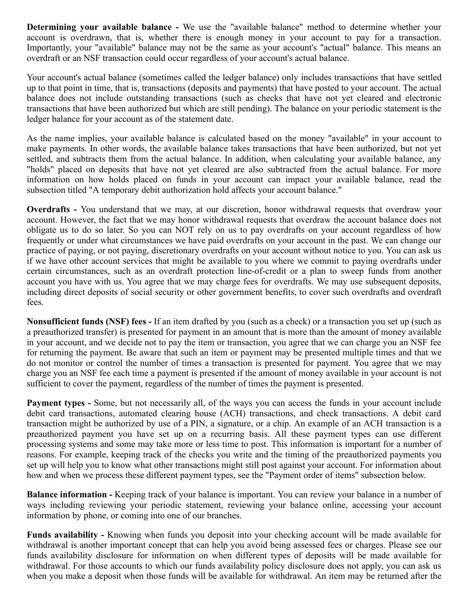**Determining your available balance -** We use the "available balance" method to determine whether your account is overdrawn, that is, whether there is enough money in your account to pay for a transaction. Importantly, your "available" balance may not be the same as your account's "actual" balance. This means an overdraft or an NSF transaction could occur regardless of your account's actual balance.

Your account's actual balance (sometimes called the ledger balance) only includes transactions that have settled up to that point in time, that is, transactions (deposits and payments) that have posted to your account. The actual balance does not include outstanding transactions (such as checks that have not yet cleared and electronic transactions that have been authorized but which are still pending). The balance on your periodic statement is the ledger balance for your account as of the statement date.

As the name implies, your available balance is calculated based on the money "available" in your account to make payments. In other words, the available balance takes transactions that have been authorized, but not yet settled, and subtracts them from the actual balance. In addition, when calculating your available balance, any "holds" placed on deposits that have not yet cleared are also subtracted from the actual balance. For more information on how holds placed on funds in your account can impact your available balance, read the subsection titled "A temporary debit authorization hold affects your account balance."

**Overdrafts -** You understand that we may, at our discretion, honor withdrawal requests that overdraw your account. However, the fact that we may honor withdrawal requests that overdraw the account balance does not obligate us to do so later. So you can NOT rely on us to pay overdrafts on your account regardless of how frequently or under what circumstances we have paid overdrafts on your account in the past. We can change our practice of paying, or not paying, discretionary overdrafts on your account without notice to you. You can ask us if we have other account services that might be available to you where we commit to paying overdrafts under certain circumstances, such as an overdraft protection line-of-credit or a plan to sweep funds from another account you have with us. You agree that we may charge fees for overdrafts. We may use subsequent deposits, including direct deposits of social security or other government benefits, to cover such overdrafts and overdraft fees.

**Nonsufficient funds (NSF) fees -** If an item drafted by you (such as a check) or a transaction you set up (such as a preauthorized transfer) is presented for payment in an amount that is more than the amount of money available in your account, and we decide not to pay the item or transaction, you agree that we can charge you an NSF fee for returning the payment. Be aware that such an item or payment may be presented multiple times and that we do not monitor or control the number of times a transaction is presented for payment. You agree that we may charge you an NSF fee each time a payment is presented if the amount of money available in your account is not sufficient to cover the payment, regardless of the number of times the payment is presented.

**Payment types -** Some, but not necessarily all, of the ways you can access the funds in your account include debit card transactions, automated clearing house (ACH) transactions, and check transactions. A debit card transaction might be authorized by use of a PIN, a signature, or a chip. An example of an ACH transaction is a preauthorized payment you have set up on a recurring basis. All these payment types can use different processing systems and some may take more or less time to post. This information is important for a number of reasons. For example, keeping track of the checks you write and the timing of the preauthorized payments you set up will help you to know what other transactions might still post against your account. For information about how and when we process these different payment types, see the "Payment order of items" subsection below.

**Balance information -** Keeping track of your balance is important. You can review your balance in a number of ways including reviewing your periodic statement, reviewing your balance online, accessing your account information by phone, or coming into one of our branches.

**Funds availability -** Knowing when funds you deposit into your checking account will be made available for withdrawal is another important concept that can help you avoid being assessed fees or charges. Please see our funds availability disclosure for information on when different types of deposits will be made available for withdrawal. For those accounts to which our funds availability policy disclosure does not apply, you can ask us when you make a deposit when those funds will be available for withdrawal. An item may be returned after the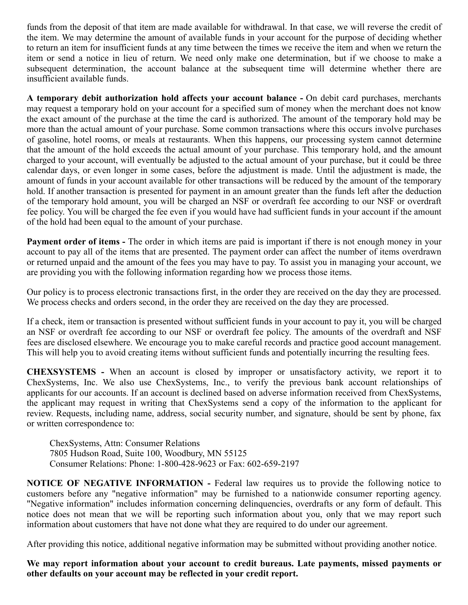funds from the deposit of that item are made available for withdrawal. In that case, we will reverse the credit of the item. We may determine the amount of available funds in your account for the purpose of deciding whether to return an item for insufficient funds at any time between the times we receive the item and when we return the item or send a notice in lieu of return. We need only make one determination, but if we choose to make a subsequent determination, the account balance at the subsequent time will determine whether there are insufficient available funds.

**A temporary debit authorization hold affects your account balance -** On debit card purchases, merchants may request a temporary hold on your account for a specified sum of money when the merchant does not know the exact amount of the purchase at the time the card is authorized. The amount of the temporary hold may be more than the actual amount of your purchase. Some common transactions where this occurs involve purchases of gasoline, hotel rooms, or meals at restaurants. When this happens, our processing system cannot determine that the amount of the hold exceeds the actual amount of your purchase. This temporary hold, and the amount charged to your account, will eventually be adjusted to the actual amount of your purchase, but it could be three calendar days, or even longer in some cases, before the adjustment is made. Until the adjustment is made, the amount of funds in your account available for other transactions will be reduced by the amount of the temporary hold. If another transaction is presented for payment in an amount greater than the funds left after the deduction of the temporary hold amount, you will be charged an NSF or overdraft fee according to our NSF or overdraft fee policy. You will be charged the fee even if you would have had sufficient funds in your account if the amount of the hold had been equal to the amount of your purchase.

**Payment order of items -** The order in which items are paid is important if there is not enough money in your account to pay all of the items that are presented. The payment order can affect the number of items overdrawn or returned unpaid and the amount of the fees you may have to pay. To assist you in managing your account, we are providing you with the following information regarding how we process those items.

Our policy is to process electronic transactions first, in the order they are received on the day they are processed. We process checks and orders second, in the order they are received on the day they are processed.

If a check, item or transaction is presented without sufficient funds in your account to pay it, you will be charged an NSF or overdraft fee according to our NSF or overdraft fee policy. The amounts of the overdraft and NSF fees are disclosed elsewhere. We encourage you to make careful records and practice good account management. This will help you to avoid creating items without sufficient funds and potentially incurring the resulting fees.

**CHEXSYSTEMS -** When an account is closed by improper or unsatisfactory activity, we report it to ChexSystems, Inc. We also use ChexSystems, Inc., to verify the previous bank account relationships of applicants for our accounts. If an account is declined based on adverse information received from ChexSystems, the applicant may request in writing that ChexSystems send a copy of the information to the applicant for review. Requests, including name, address, social security number, and signature, should be sent by phone, fax or written correspondence to:

ChexSystems, Attn: Consumer Relations 7805 Hudson Road, Suite 100, Woodbury, MN 55125 Consumer Relations: Phone: 1-800-428-9623 or Fax: 602-659-2197

**NOTICE OF NEGATIVE INFORMATION - Federal law requires us to provide the following notice to** customers before any "negative information" may be furnished to a nationwide consumer reporting agency. "Negative information" includes information concerning delinquencies, overdrafts or any form of default. This notice does not mean that we will be reporting such information about you, only that we may report such information about customers that have not done what they are required to do under our agreement.

After providing this notice, additional negative information may be submitted without providing another notice.

**We may report information about your account to credit bureaus. Late payments, missed payments or other defaults on your account may be reflected in your credit report.**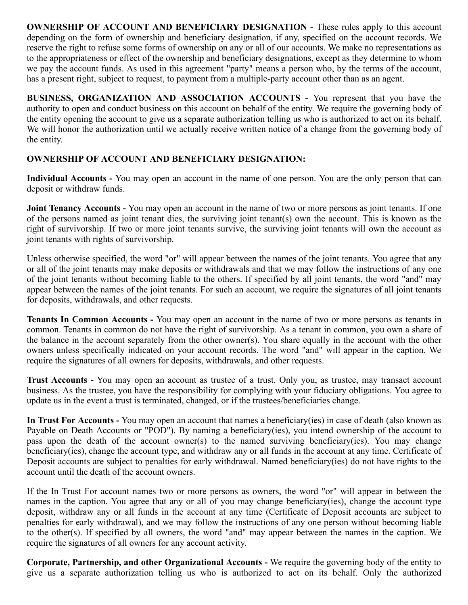**OWNERSHIP OF ACCOUNT AND BENEFICIARY DESIGNATION -** These rules apply to this account depending on the form of ownership and beneficiary designation, if any, specified on the account records. We reserve the right to refuse some forms of ownership on any or all of our accounts. We make no representations as to the appropriateness or effect of the ownership and beneficiary designations, except as they determine to whom we pay the account funds. As used in this agreement "party" means a person who, by the terms of the account, has a present right, subject to request, to payment from a multiple-party account other than as an agent.

**BUSINESS, ORGANIZATION AND ASSOCIATION ACCOUNTS -** You represent that you have the authority to open and conduct business on this account on behalf of the entity. We require the governing body of the entity opening the account to give us a separate authorization telling us who is authorized to act on its behalf. We will honor the authorization until we actually receive written notice of a change from the governing body of the entity.

# **OWNERSHIP OF ACCOUNT AND BENEFICIARY DESIGNATION:**

**Individual Accounts -** You may open an account in the name of one person. You are the only person that can deposit or withdraw funds.

**Joint Tenancy Accounts -** You may open an account in the name of two or more persons as joint tenants. If one of the persons named as joint tenant dies, the surviving joint tenant(s) own the account. This is known as the right of survivorship. If two or more joint tenants survive, the surviving joint tenants will own the account as joint tenants with rights of survivorship.

Unless otherwise specified, the word "or" will appear between the names of the joint tenants. You agree that any or all of the joint tenants may make deposits or withdrawals and that we may follow the instructions of any one of the joint tenants without becoming liable to the others. If specified by all joint tenants, the word "and" may appear between the names of the joint tenants. For such an account, we require the signatures of all joint tenants for deposits, withdrawals, and other requests.

**Tenants In Common Accounts -** You may open an account in the name of two or more persons as tenants in common. Tenants in common do not have the right of survivorship. As a tenant in common, you own a share of the balance in the account separately from the other owner(s). You share equally in the account with the other owners unless specifically indicated on your account records. The word "and" will appear in the caption. We require the signatures of all owners for deposits, withdrawals, and other requests.

**Trust Accounts -** You may open an account as trustee of a trust. Only you, as trustee, may transact account business. As the trustee, you have the responsibility for complying with your fiduciary obligations. You agree to update us in the event a trust is terminated, changed, or if the trustees/beneficiaries change.

**In Trust For Accounts -** You may open an account that names a beneficiary(ies) in case of death (also known as Payable on Death Accounts or "POD"). By naming a beneficiary(ies), you intend ownership of the account to pass upon the death of the account owner(s) to the named surviving beneficiary(ies). You may change beneficiary(ies), change the account type, and withdraw any or all funds in the account at any time. Certificate of Deposit accounts are subject to penalties for early withdrawal. Named beneficiary(ies) do not have rights to the account until the death of the account owners.

If the In Trust For account names two or more persons as owners, the word "or" will appear in between the names in the caption. You agree that any or all of you may change beneficiary(ies), change the account type deposit, withdraw any or all funds in the account at any time (Certificate of Deposit accounts are subject to penalties for early withdrawal), and we may follow the instructions of any one person without becoming liable to the other(s). If specified by all owners, the word "and" may appear between the names in the caption. We require the signatures of all owners for any account activity.

**Corporate, Partnership, and other Organizational Accounts -** We require the governing body of the entity to give us a separate authorization telling us who is authorized to act on its behalf. Only the authorized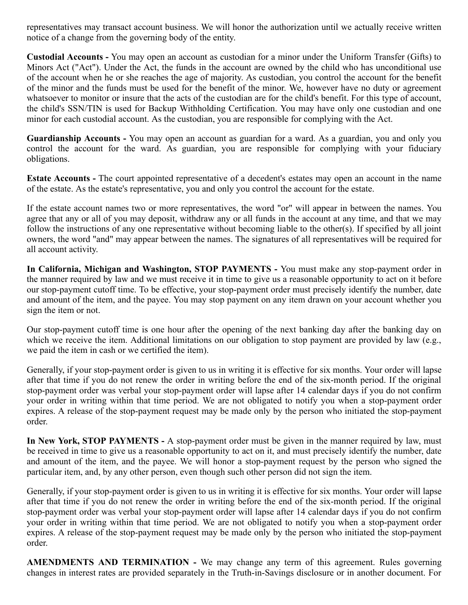representatives may transact account business. We will honor the authorization until we actually receive written notice of a change from the governing body of the entity.

**Custodial Accounts -** You may open an account as custodian for a minor under the Uniform Transfer (Gifts) to Minors Act ("Act"). Under the Act, the funds in the account are owned by the child who has unconditional use of the account when he or she reaches the age of majority. As custodian, you control the account for the benefit of the minor and the funds must be used for the benefit of the minor. We, however have no duty or agreement whatsoever to monitor or insure that the acts of the custodian are for the child's benefit. For this type of account, the child's SSN/TIN is used for Backup Withholding Certification. You may have only one custodian and one minor for each custodial account. As the custodian, you are responsible for complying with the Act.

**Guardianship Accounts -** You may open an account as guardian for a ward. As a guardian, you and only you control the account for the ward. As guardian, you are responsible for complying with your fiduciary obligations.

**Estate Accounts -** The court appointed representative of a decedent's estates may open an account in the name of the estate. As the estate's representative, you and only you control the account for the estate.

If the estate account names two or more representatives, the word "or" will appear in between the names. You agree that any or all of you may deposit, withdraw any or all funds in the account at any time, and that we may follow the instructions of any one representative without becoming liable to the other(s). If specified by all joint owners, the word "and" may appear between the names. The signatures of all representatives will be required for all account activity.

**In California, Michigan and Washington, STOP PAYMENTS -** You must make any stop-payment order in the manner required by law and we must receive it in time to give us a reasonable opportunity to act on it before our stop-payment cutoff time. To be effective, your stop-payment order must precisely identify the number, date and amount of the item, and the payee. You may stop payment on any item drawn on your account whether you sign the item or not.

Our stop-payment cutoff time is one hour after the opening of the next banking day after the banking day on which we receive the item. Additional limitations on our obligation to stop payment are provided by law (e.g., we paid the item in cash or we certified the item).

Generally, if your stop-payment order is given to us in writing it is effective for six months. Your order will lapse after that time if you do not renew the order in writing before the end of the six-month period. If the original stop-payment order was verbal your stop-payment order will lapse after 14 calendar days if you do not confirm your order in writing within that time period. We are not obligated to notify you when a stop-payment order expires. A release of the stop-payment request may be made only by the person who initiated the stop-payment order.

**In New York, STOP PAYMENTS -** A stop-payment order must be given in the manner required by law, must be received in time to give us a reasonable opportunity to act on it, and must precisely identify the number, date and amount of the item, and the payee. We will honor a stop-payment request by the person who signed the particular item, and, by any other person, even though such other person did not sign the item.

Generally, if your stop-payment order is given to us in writing it is effective for six months. Your order will lapse after that time if you do not renew the order in writing before the end of the six-month period. If the original stop-payment order was verbal your stop-payment order will lapse after 14 calendar days if you do not confirm your order in writing within that time period. We are not obligated to notify you when a stop-payment order expires. A release of the stop-payment request may be made only by the person who initiated the stop-payment order.

**AMENDMENTS AND TERMINATION -** We may change any term of this agreement. Rules governing changes in interest rates are provided separately in the Truth-in-Savings disclosure or in another document. For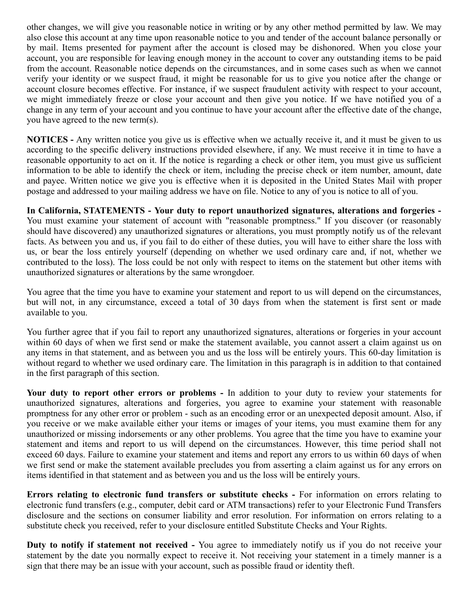other changes, we will give you reasonable notice in writing or by any other method permitted by law. We may also close this account at any time upon reasonable notice to you and tender of the account balance personally or by mail. Items presented for payment after the account is closed may be dishonored. When you close your account, you are responsible for leaving enough money in the account to cover any outstanding items to be paid from the account. Reasonable notice depends on the circumstances, and in some cases such as when we cannot verify your identity or we suspect fraud, it might be reasonable for us to give you notice after the change or account closure becomes effective. For instance, if we suspect fraudulent activity with respect to your account, we might immediately freeze or close your account and then give you notice. If we have notified you of a change in any term of your account and you continue to have your account after the effective date of the change, you have agreed to the new term(s).

**NOTICES -** Any written notice you give us is effective when we actually receive it, and it must be given to us according to the specific delivery instructions provided elsewhere, if any. We must receive it in time to have a reasonable opportunity to act on it. If the notice is regarding a check or other item, you must give us sufficient information to be able to identify the check or item, including the precise check or item number, amount, date and payee. Written notice we give you is effective when it is deposited in the United States Mail with proper postage and addressed to your mailing address we have on file. Notice to any of you is notice to all of you.

**In California, STATEMENTS - Your duty to report unauthorized signatures, alterations and forgeries -** You must examine your statement of account with "reasonable promptness." If you discover (or reasonably should have discovered) any unauthorized signatures or alterations, you must promptly notify us of the relevant facts. As between you and us, if you fail to do either of these duties, you will have to either share the loss with us, or bear the loss entirely yourself (depending on whether we used ordinary care and, if not, whether we contributed to the loss). The loss could be not only with respect to items on the statement but other items with unauthorized signatures or alterations by the same wrongdoer.

You agree that the time you have to examine your statement and report to us will depend on the circumstances, but will not, in any circumstance, exceed a total of 30 days from when the statement is first sent or made available to you.

You further agree that if you fail to report any unauthorized signatures, alterations or forgeries in your account within 60 days of when we first send or make the statement available, you cannot assert a claim against us on any items in that statement, and as between you and us the loss will be entirely yours. This 60-day limitation is without regard to whether we used ordinary care. The limitation in this paragraph is in addition to that contained in the first paragraph of this section.

**Your duty to report other errors or problems -** In addition to your duty to review your statements for unauthorized signatures, alterations and forgeries, you agree to examine your statement with reasonable promptness for any other error or problem - such as an encoding error or an unexpected deposit amount. Also, if you receive or we make available either your items or images of your items, you must examine them for any unauthorized or missing indorsements or any other problems. You agree that the time you have to examine your statement and items and report to us will depend on the circumstances. However, this time period shall not exceed 60 days. Failure to examine your statement and items and report any errors to us within 60 days of when we first send or make the statement available precludes you from asserting a claim against us for any errors on items identified in that statement and as between you and us the loss will be entirely yours.

**Errors relating to electronic fund transfers or substitute checks -** For information on errors relating to electronic fund transfers (e.g., computer, debit card or ATM transactions) refer to your Electronic Fund Transfers disclosure and the sections on consumer liability and error resolution. For information on errors relating to a substitute check you received, refer to your disclosure entitled Substitute Checks and Your Rights.

**Duty to notify if statement not received -** You agree to immediately notify us if you do not receive your statement by the date you normally expect to receive it. Not receiving your statement in a timely manner is a sign that there may be an issue with your account, such as possible fraud or identity theft.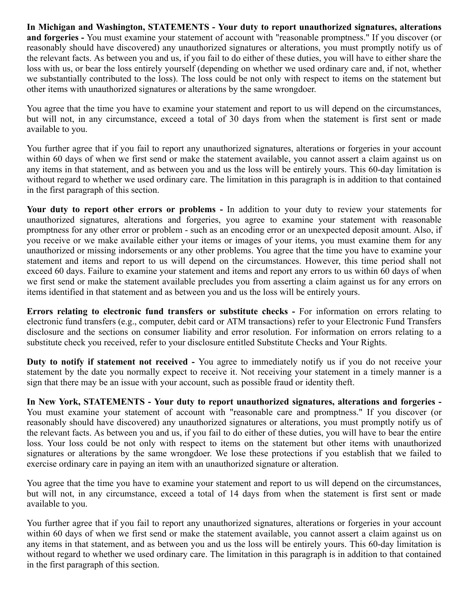**In Michigan and Washington, STATEMENTS - Your duty to report unauthorized signatures, alterations and forgeries -** You must examine your statement of account with "reasonable promptness." If you discover (or reasonably should have discovered) any unauthorized signatures or alterations, you must promptly notify us of the relevant facts. As between you and us, if you fail to do either of these duties, you will have to either share the loss with us, or bear the loss entirely yourself (depending on whether we used ordinary care and, if not, whether we substantially contributed to the loss). The loss could be not only with respect to items on the statement but other items with unauthorized signatures or alterations by the same wrongdoer.

You agree that the time you have to examine your statement and report to us will depend on the circumstances, but will not, in any circumstance, exceed a total of 30 days from when the statement is first sent or made available to you.

You further agree that if you fail to report any unauthorized signatures, alterations or forgeries in your account within 60 days of when we first send or make the statement available, you cannot assert a claim against us on any items in that statement, and as between you and us the loss will be entirely yours. This 60-day limitation is without regard to whether we used ordinary care. The limitation in this paragraph is in addition to that contained in the first paragraph of this section.

**Your duty to report other errors or problems -** In addition to your duty to review your statements for unauthorized signatures, alterations and forgeries, you agree to examine your statement with reasonable promptness for any other error or problem - such as an encoding error or an unexpected deposit amount. Also, if you receive or we make available either your items or images of your items, you must examine them for any unauthorized or missing indorsements or any other problems. You agree that the time you have to examine your statement and items and report to us will depend on the circumstances. However, this time period shall not exceed 60 days. Failure to examine your statement and items and report any errors to us within 60 days of when we first send or make the statement available precludes you from asserting a claim against us for any errors on items identified in that statement and as between you and us the loss will be entirely yours.

**Errors relating to electronic fund transfers or substitute checks -** For information on errors relating to electronic fund transfers (e.g., computer, debit card or ATM transactions) refer to your Electronic Fund Transfers disclosure and the sections on consumer liability and error resolution. For information on errors relating to a substitute check you received, refer to your disclosure entitled Substitute Checks and Your Rights.

**Duty to notify if statement not received -** You agree to immediately notify us if you do not receive your statement by the date you normally expect to receive it. Not receiving your statement in a timely manner is a sign that there may be an issue with your account, such as possible fraud or identity theft.

**In New York, STATEMENTS - Your duty to report unauthorized signatures, alterations and forgeries -** You must examine your statement of account with "reasonable care and promptness." If you discover (or reasonably should have discovered) any unauthorized signatures or alterations, you must promptly notify us of the relevant facts. As between you and us, if you fail to do either of these duties, you will have to bear the entire loss. Your loss could be not only with respect to items on the statement but other items with unauthorized signatures or alterations by the same wrongdoer. We lose these protections if you establish that we failed to exercise ordinary care in paying an item with an unauthorized signature or alteration.

You agree that the time you have to examine your statement and report to us will depend on the circumstances, but will not, in any circumstance, exceed a total of 14 days from when the statement is first sent or made available to you.

You further agree that if you fail to report any unauthorized signatures, alterations or forgeries in your account within 60 days of when we first send or make the statement available, you cannot assert a claim against us on any items in that statement, and as between you and us the loss will be entirely yours. This 60-day limitation is without regard to whether we used ordinary care. The limitation in this paragraph is in addition to that contained in the first paragraph of this section.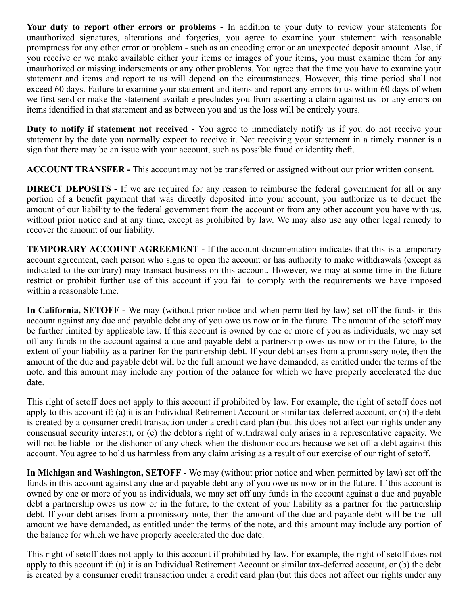**Your duty to report other errors or problems -** In addition to your duty to review your statements for unauthorized signatures, alterations and forgeries, you agree to examine your statement with reasonable promptness for any other error or problem - such as an encoding error or an unexpected deposit amount. Also, if you receive or we make available either your items or images of your items, you must examine them for any unauthorized or missing indorsements or any other problems. You agree that the time you have to examine your statement and items and report to us will depend on the circumstances. However, this time period shall not exceed 60 days. Failure to examine your statement and items and report any errors to us within 60 days of when we first send or make the statement available precludes you from asserting a claim against us for any errors on items identified in that statement and as between you and us the loss will be entirely yours.

**Duty to notify if statement not received -** You agree to immediately notify us if you do not receive your statement by the date you normally expect to receive it. Not receiving your statement in a timely manner is a sign that there may be an issue with your account, such as possible fraud or identity theft.

**ACCOUNT TRANSFER -** This account may not be transferred or assigned without our prior written consent.

**DIRECT DEPOSITS -** If we are required for any reason to reimburse the federal government for all or any portion of a benefit payment that was directly deposited into your account, you authorize us to deduct the amount of our liability to the federal government from the account or from any other account you have with us, without prior notice and at any time, except as prohibited by law. We may also use any other legal remedy to recover the amount of our liability.

**TEMPORARY ACCOUNT AGREEMENT -** If the account documentation indicates that this is a temporary account agreement, each person who signs to open the account or has authority to make withdrawals (except as indicated to the contrary) may transact business on this account. However, we may at some time in the future restrict or prohibit further use of this account if you fail to comply with the requirements we have imposed within a reasonable time.

**In California, SETOFF -** We may (without prior notice and when permitted by law) set off the funds in this account against any due and payable debt any of you owe us now or in the future. The amount of the setoff may be further limited by applicable law. If this account is owned by one or more of you as individuals, we may set off any funds in the account against a due and payable debt a partnership owes us now or in the future, to the extent of your liability as a partner for the partnership debt. If your debt arises from a promissory note, then the amount of the due and payable debt will be the full amount we have demanded, as entitled under the terms of the note, and this amount may include any portion of the balance for which we have properly accelerated the due date.

This right of setoff does not apply to this account if prohibited by law. For example, the right of setoff does not apply to this account if: (a) it is an Individual Retirement Account or similar tax-deferred account, or (b) the debt is created by a consumer credit transaction under a credit card plan (but this does not affect our rights under any consensual security interest), or (c) the debtor's right of withdrawal only arises in a representative capacity. We will not be liable for the dishonor of any check when the dishonor occurs because we set off a debt against this account. You agree to hold us harmless from any claim arising as a result of our exercise of our right of setoff.

**In Michigan and Washington, SETOFF -** We may (without prior notice and when permitted by law) set off the funds in this account against any due and payable debt any of you owe us now or in the future. If this account is owned by one or more of you as individuals, we may set off any funds in the account against a due and payable debt a partnership owes us now or in the future, to the extent of your liability as a partner for the partnership debt. If your debt arises from a promissory note, then the amount of the due and payable debt will be the full amount we have demanded, as entitled under the terms of the note, and this amount may include any portion of the balance for which we have properly accelerated the due date.

This right of setoff does not apply to this account if prohibited by law. For example, the right of setoff does not apply to this account if: (a) it is an Individual Retirement Account or similar tax-deferred account, or (b) the debt is created by a consumer credit transaction under a credit card plan (but this does not affect our rights under any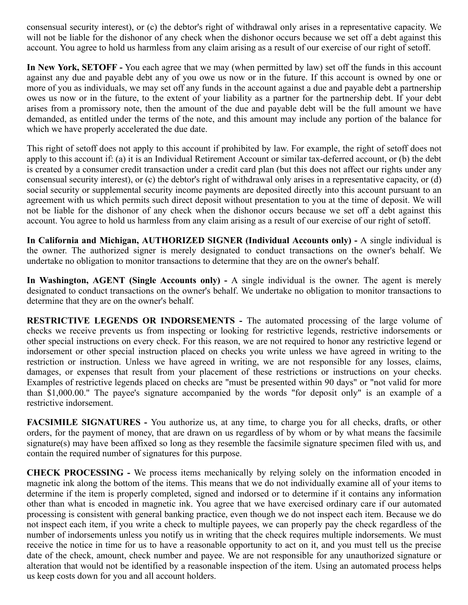consensual security interest), or (c) the debtor's right of withdrawal only arises in a representative capacity. We will not be liable for the dishonor of any check when the dishonor occurs because we set off a debt against this account. You agree to hold us harmless from any claim arising as a result of our exercise of our right of setoff.

**In New York, SETOFF -** You each agree that we may (when permitted by law) set off the funds in this account against any due and payable debt any of you owe us now or in the future. If this account is owned by one or more of you as individuals, we may set off any funds in the account against a due and payable debt a partnership owes us now or in the future, to the extent of your liability as a partner for the partnership debt. If your debt arises from a promissory note, then the amount of the due and payable debt will be the full amount we have demanded, as entitled under the terms of the note, and this amount may include any portion of the balance for which we have properly accelerated the due date.

This right of setoff does not apply to this account if prohibited by law. For example, the right of setoff does not apply to this account if: (a) it is an Individual Retirement Account or similar tax-deferred account, or (b) the debt is created by a consumer credit transaction under a credit card plan (but this does not affect our rights under any consensual security interest), or (c) the debtor's right of withdrawal only arises in a representative capacity, or (d) social security or supplemental security income payments are deposited directly into this account pursuant to an agreement with us which permits such direct deposit without presentation to you at the time of deposit. We will not be liable for the dishonor of any check when the dishonor occurs because we set off a debt against this account. You agree to hold us harmless from any claim arising as a result of our exercise of our right of setoff.

**In California and Michigan, AUTHORIZED SIGNER (Individual Accounts only) -** A single individual is the owner. The authorized signer is merely designated to conduct transactions on the owner's behalf. We undertake no obligation to monitor transactions to determine that they are on the owner's behalf.

**In Washington, AGENT (Single Accounts only) -** A single individual is the owner. The agent is merely designated to conduct transactions on the owner's behalf. We undertake no obligation to monitor transactions to determine that they are on the owner's behalf.

**RESTRICTIVE LEGENDS OR INDORSEMENTS -** The automated processing of the large volume of checks we receive prevents us from inspecting or looking for restrictive legends, restrictive indorsements or other special instructions on every check. For this reason, we are not required to honor any restrictive legend or indorsement or other special instruction placed on checks you write unless we have agreed in writing to the restriction or instruction. Unless we have agreed in writing, we are not responsible for any losses, claims, damages, or expenses that result from your placement of these restrictions or instructions on your checks. Examples of restrictive legends placed on checks are "must be presented within 90 days" or "not valid for more than \$1,000.00." The payee's signature accompanied by the words "for deposit only" is an example of a restrictive indorsement.

**FACSIMILE SIGNATURES -** You authorize us, at any time, to charge you for all checks, drafts, or other orders, for the payment of money, that are drawn on us regardless of by whom or by what means the facsimile signature(s) may have been affixed so long as they resemble the facsimile signature specimen filed with us, and contain the required number of signatures for this purpose.

**CHECK PROCESSING -** We process items mechanically by relying solely on the information encoded in magnetic ink along the bottom of the items. This means that we do not individually examine all of your items to determine if the item is properly completed, signed and indorsed or to determine if it contains any information other than what is encoded in magnetic ink. You agree that we have exercised ordinary care if our automated processing is consistent with general banking practice, even though we do not inspect each item. Because we do not inspect each item, if you write a check to multiple payees, we can properly pay the check regardless of the number of indorsements unless you notify us in writing that the check requires multiple indorsements. We must receive the notice in time for us to have a reasonable opportunity to act on it, and you must tell us the precise date of the check, amount, check number and payee. We are not responsible for any unauthorized signature or alteration that would not be identified by a reasonable inspection of the item. Using an automated process helps us keep costs down for you and all account holders.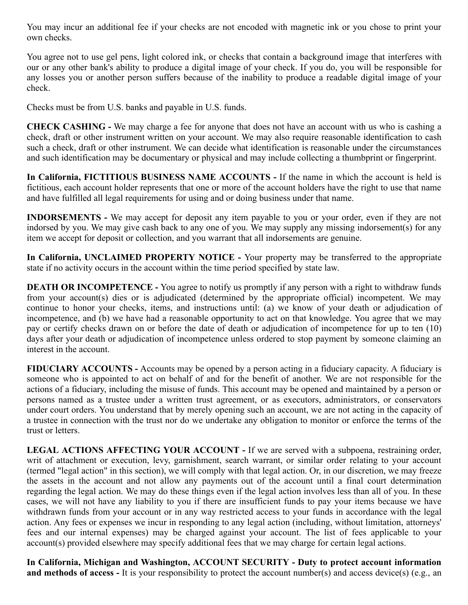You may incur an additional fee if your checks are not encoded with magnetic ink or you chose to print your own checks.

You agree not to use gel pens, light colored ink, or checks that contain a background image that interferes with our or any other bank's ability to produce a digital image of your check. If you do, you will be responsible for any losses you or another person suffers because of the inability to produce a readable digital image of your check.

Checks must be from U.S. banks and payable in U.S. funds.

**CHECK CASHING -** We may charge a fee for anyone that does not have an account with us who is cashing a check, draft or other instrument written on your account. We may also require reasonable identification to cash such a check, draft or other instrument. We can decide what identification is reasonable under the circumstances and such identification may be documentary or physical and may include collecting a thumbprint or fingerprint.

**In California, FICTITIOUS BUSINESS NAME ACCOUNTS -** If the name in which the account is held is fictitious, each account holder represents that one or more of the account holders have the right to use that name and have fulfilled all legal requirements for using and or doing business under that name.

**INDORSEMENTS -** We may accept for deposit any item payable to you or your order, even if they are not indorsed by you. We may give cash back to any one of you. We may supply any missing indorsement(s) for any item we accept for deposit or collection, and you warrant that all indorsements are genuine.

**In California, UNCLAIMED PROPERTY NOTICE -** Your property may be transferred to the appropriate state if no activity occurs in the account within the time period specified by state law.

**DEATH OR INCOMPETENCE -** You agree to notify us promptly if any person with a right to withdraw funds from your account(s) dies or is adjudicated (determined by the appropriate official) incompetent. We may continue to honor your checks, items, and instructions until: (a) we know of your death or adjudication of incompetence, and (b) we have had a reasonable opportunity to act on that knowledge. You agree that we may pay or certify checks drawn on or before the date of death or adjudication of incompetence for up to ten (10) days after your death or adjudication of incompetence unless ordered to stop payment by someone claiming an interest in the account.

**FIDUCIARY ACCOUNTS -** Accounts may be opened by a person acting in a fiduciary capacity. A fiduciary is someone who is appointed to act on behalf of and for the benefit of another. We are not responsible for the actions of a fiduciary, including the misuse of funds. This account may be opened and maintained by a person or persons named as a trustee under a written trust agreement, or as executors, administrators, or conservators under court orders. You understand that by merely opening such an account, we are not acting in the capacity of a trustee in connection with the trust nor do we undertake any obligation to monitor or enforce the terms of the trust or letters.

**LEGAL ACTIONS AFFECTING YOUR ACCOUNT -** If we are served with a subpoena, restraining order, writ of attachment or execution, levy, garnishment, search warrant, or similar order relating to your account (termed "legal action" in this section), we will comply with that legal action. Or, in our discretion, we may freeze the assets in the account and not allow any payments out of the account until a final court determination regarding the legal action. We may do these things even if the legal action involves less than all of you. In these cases, we will not have any liability to you if there are insufficient funds to pay your items because we have withdrawn funds from your account or in any way restricted access to your funds in accordance with the legal action. Any fees or expenses we incur in responding to any legal action (including, without limitation, attorneys' fees and our internal expenses) may be charged against your account. The list of fees applicable to your account(s) provided elsewhere may specify additional fees that we may charge for certain legal actions.

**In California, Michigan and Washington, ACCOUNT SECURITY - Duty to protect account information and methods of access -** It is your responsibility to protect the account number(s) and access device(s) (e.g., an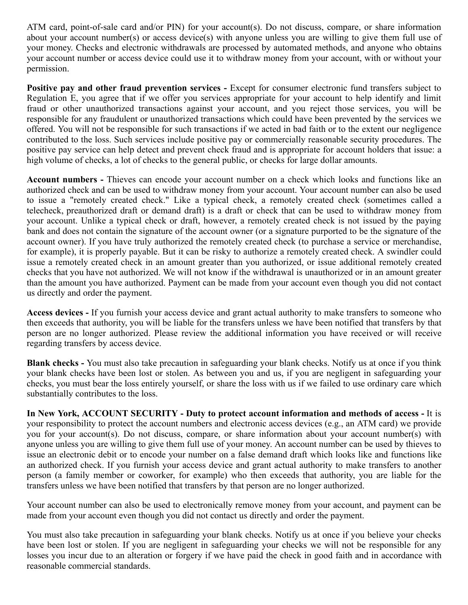ATM card, point-of-sale card and/or PIN) for your account(s). Do not discuss, compare, or share information about your account number(s) or access device(s) with anyone unless you are willing to give them full use of your money. Checks and electronic withdrawals are processed by automated methods, and anyone who obtains your account number or access device could use it to withdraw money from your account, with or without your permission.

Positive pay and other fraud prevention services - Except for consumer electronic fund transfers subject to Regulation E, you agree that if we offer you services appropriate for your account to help identify and limit fraud or other unauthorized transactions against your account, and you reject those services, you will be responsible for any fraudulent or unauthorized transactions which could have been prevented by the services we offered. You will not be responsible for such transactions if we acted in bad faith or to the extent our negligence contributed to the loss. Such services include positive pay or commercially reasonable security procedures. The positive pay service can help detect and prevent check fraud and is appropriate for account holders that issue: a high volume of checks, a lot of checks to the general public, or checks for large dollar amounts.

**Account numbers -** Thieves can encode your account number on a check which looks and functions like an authorized check and can be used to withdraw money from your account. Your account number can also be used to issue a "remotely created check." Like a typical check, a remotely created check (sometimes called a telecheck, preauthorized draft or demand draft) is a draft or check that can be used to withdraw money from your account. Unlike a typical check or draft, however, a remotely created check is not issued by the paying bank and does not contain the signature of the account owner (or a signature purported to be the signature of the account owner). If you have truly authorized the remotely created check (to purchase a service or merchandise, for example), it is properly payable. But it can be risky to authorize a remotely created check. A swindler could issue a remotely created check in an amount greater than you authorized, or issue additional remotely created checks that you have not authorized. We will not know if the withdrawal is unauthorized or in an amount greater than the amount you have authorized. Payment can be made from your account even though you did not contact us directly and order the payment.

**Access devices -** If you furnish your access device and grant actual authority to make transfers to someone who then exceeds that authority, you will be liable for the transfers unless we have been notified that transfers by that person are no longer authorized. Please review the additional information you have received or will receive regarding transfers by access device.

**Blank checks -** You must also take precaution in safeguarding your blank checks. Notify us at once if you think your blank checks have been lost or stolen. As between you and us, if you are negligent in safeguarding your checks, you must bear the loss entirely yourself, or share the loss with us if we failed to use ordinary care which substantially contributes to the loss.

**In New York, ACCOUNT SECURITY - Duty to protect account information and methods of access -** It is your responsibility to protect the account numbers and electronic access devices (e.g., an ATM card) we provide you for your account(s). Do not discuss, compare, or share information about your account number(s) with anyone unless you are willing to give them full use of your money. An account number can be used by thieves to issue an electronic debit or to encode your number on a false demand draft which looks like and functions like an authorized check. If you furnish your access device and grant actual authority to make transfers to another person (a family member or coworker, for example) who then exceeds that authority, you are liable for the transfers unless we have been notified that transfers by that person are no longer authorized.

Your account number can also be used to electronically remove money from your account, and payment can be made from your account even though you did not contact us directly and order the payment.

You must also take precaution in safeguarding your blank checks. Notify us at once if you believe your checks have been lost or stolen. If you are negligent in safeguarding your checks we will not be responsible for any losses you incur due to an alteration or forgery if we have paid the check in good faith and in accordance with reasonable commercial standards.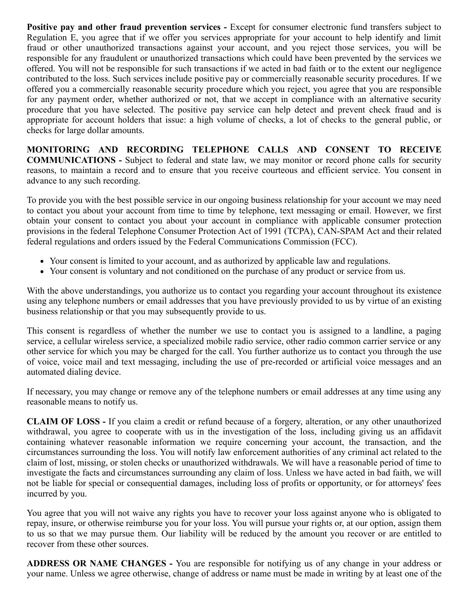**Positive pay and other fraud prevention services - Except for consumer electronic fund transfers subject to** Regulation E, you agree that if we offer you services appropriate for your account to help identify and limit fraud or other unauthorized transactions against your account, and you reject those services, you will be responsible for any fraudulent or unauthorized transactions which could have been prevented by the services we offered. You will not be responsible for such transactions if we acted in bad faith or to the extent our negligence contributed to the loss. Such services include positive pay or commercially reasonable security procedures. If we offered you a commercially reasonable security procedure which you reject, you agree that you are responsible for any payment order, whether authorized or not, that we accept in compliance with an alternative security procedure that you have selected. The positive pay service can help detect and prevent check fraud and is appropriate for account holders that issue: a high volume of checks, a lot of checks to the general public, or checks for large dollar amounts.

**MONITORING AND RECORDING TELEPHONE CALLS AND CONSENT TO RECEIVE COMMUNICATIONS -** Subject to federal and state law, we may monitor or record phone calls for security reasons, to maintain a record and to ensure that you receive courteous and efficient service. You consent in advance to any such recording.

To provide you with the best possible service in our ongoing business relationship for your account we may need to contact you about your account from time to time by telephone, text messaging or email. However, we first obtain your consent to contact you about your account in compliance with applicable consumer protection provisions in the federal Telephone Consumer Protection Act of 1991 (TCPA), CAN-SPAM Act and their related federal regulations and orders issued by the Federal Communications Commission (FCC).

- Your consent is limited to your account, and as authorized by applicable law and regulations.
- Your consent is voluntary and not conditioned on the purchase of any product or service from us.

With the above understandings, you authorize us to contact you regarding your account throughout its existence using any telephone numbers or email addresses that you have previously provided to us by virtue of an existing business relationship or that you may subsequently provide to us.

This consent is regardless of whether the number we use to contact you is assigned to a landline, a paging service, a cellular wireless service, a specialized mobile radio service, other radio common carrier service or any other service for which you may be charged for the call. You further authorize us to contact you through the use of voice, voice mail and text messaging, including the use of pre-recorded or artificial voice messages and an automated dialing device.

If necessary, you may change or remove any of the telephone numbers or email addresses at any time using any reasonable means to notify us.

**CLAIM OF LOSS -** If you claim a credit or refund because of a forgery, alteration, or any other unauthorized withdrawal, you agree to cooperate with us in the investigation of the loss, including giving us an affidavit containing whatever reasonable information we require concerning your account, the transaction, and the circumstances surrounding the loss. You will notify law enforcement authorities of any criminal act related to the claim of lost, missing, or stolen checks or unauthorized withdrawals. We will have a reasonable period of time to investigate the facts and circumstances surrounding any claim of loss. Unless we have acted in bad faith, we will not be liable for special or consequential damages, including loss of profits or opportunity, or for attorneys' fees incurred by you.

You agree that you will not waive any rights you have to recover your loss against anyone who is obligated to repay, insure, or otherwise reimburse you for your loss. You will pursue your rights or, at our option, assign them to us so that we may pursue them. Our liability will be reduced by the amount you recover or are entitled to recover from these other sources.

**ADDRESS OR NAME CHANGES -** You are responsible for notifying us of any change in your address or your name. Unless we agree otherwise, change of address or name must be made in writing by at least one of the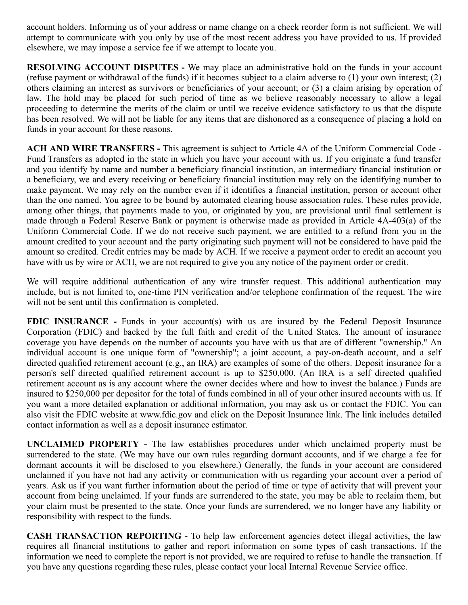account holders. Informing us of your address or name change on a check reorder form is not sufficient. We will attempt to communicate with you only by use of the most recent address you have provided to us. If provided elsewhere, we may impose a service fee if we attempt to locate you.

**RESOLVING ACCOUNT DISPUTES -** We may place an administrative hold on the funds in your account (refuse payment or withdrawal of the funds) if it becomes subject to a claim adverse to (1) your own interest; (2) others claiming an interest as survivors or beneficiaries of your account; or (3) a claim arising by operation of law. The hold may be placed for such period of time as we believe reasonably necessary to allow a legal proceeding to determine the merits of the claim or until we receive evidence satisfactory to us that the dispute has been resolved. We will not be liable for any items that are dishonored as a consequence of placing a hold on funds in your account for these reasons.

**ACH AND WIRE TRANSFERS -** This agreement is subject to Article 4A of the Uniform Commercial Code - Fund Transfers as adopted in the state in which you have your account with us. If you originate a fund transfer and you identify by name and number a beneficiary financial institution, an intermediary financial institution or a beneficiary, we and every receiving or beneficiary financial institution may rely on the identifying number to make payment. We may rely on the number even if it identifies a financial institution, person or account other than the one named. You agree to be bound by automated clearing house association rules. These rules provide, among other things, that payments made to you, or originated by you, are provisional until final settlement is made through a Federal Reserve Bank or payment is otherwise made as provided in Article 4A-403(a) of the Uniform Commercial Code. If we do not receive such payment, we are entitled to a refund from you in the amount credited to your account and the party originating such payment will not be considered to have paid the amount so credited. Credit entries may be made by ACH. If we receive a payment order to credit an account you have with us by wire or ACH, we are not required to give you any notice of the payment order or credit.

We will require additional authentication of any wire transfer request. This additional authentication may include, but is not limited to, one-time PIN verification and/or telephone confirmation of the request. The wire will not be sent until this confirmation is completed.

**FDIC INSURANCE** - Funds in your account(s) with us are insured by the Federal Deposit Insurance Corporation (FDIC) and backed by the full faith and credit of the United States. The amount of insurance coverage you have depends on the number of accounts you have with us that are of different "ownership." An individual account is one unique form of "ownership"; a joint account, a pay-on-death account, and a self directed qualified retirement account (e.g., an IRA) are examples of some of the others. Deposit insurance for a person's self directed qualified retirement account is up to \$250,000. (An IRA is a self directed qualified retirement account as is any account where the owner decides where and how to invest the balance.) Funds are insured to \$250,000 per depositor for the total of funds combined in all of your other insured accounts with us. If you want a more detailed explanation or additional information, you may ask us or contact the FDIC. You can also visit the FDIC website at www.fdic.gov and click on the Deposit Insurance link. The link includes detailed contact information as well as a deposit insurance estimator.

**UNCLAIMED PROPERTY -** The law establishes procedures under which unclaimed property must be surrendered to the state. (We may have our own rules regarding dormant accounts, and if we charge a fee for dormant accounts it will be disclosed to you elsewhere.) Generally, the funds in your account are considered unclaimed if you have not had any activity or communication with us regarding your account over a period of years. Ask us if you want further information about the period of time or type of activity that will prevent your account from being unclaimed. If your funds are surrendered to the state, you may be able to reclaim them, but your claim must be presented to the state. Once your funds are surrendered, we no longer have any liability or responsibility with respect to the funds.

**CASH TRANSACTION REPORTING -** To help law enforcement agencies detect illegal activities, the law requires all financial institutions to gather and report information on some types of cash transactions. If the information we need to complete the report is not provided, we are required to refuse to handle the transaction. If you have any questions regarding these rules, please contact your local Internal Revenue Service office.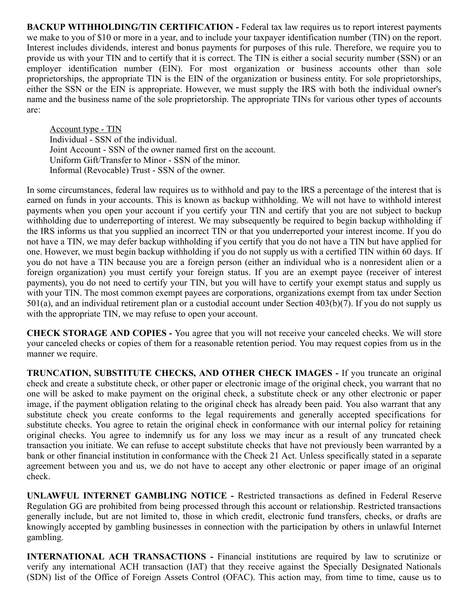**BACKUP WITHHOLDING/TIN CERTIFICATION - Federal tax law requires us to report interest payments** we make to you of \$10 or more in a year, and to include your taxpayer identification number (TIN) on the report. Interest includes dividends, interest and bonus payments for purposes of this rule. Therefore, we require you to provide us with your TIN and to certify that it is correct. The TIN is either a social security number (SSN) or an employer identification number (EIN). For most organization or business accounts other than sole proprietorships, the appropriate TIN is the EIN of the organization or business entity. For sole proprietorships, either the SSN or the EIN is appropriate. However, we must supply the IRS with both the individual owner's name and the business name of the sole proprietorship. The appropriate TINs for various other types of accounts are:

Account type - TIN Individual - SSN of the individual. Joint Account - SSN of the owner named first on the account. Uniform Gift/Transfer to Minor - SSN of the minor. Informal (Revocable) Trust - SSN of the owner.

In some circumstances, federal law requires us to withhold and pay to the IRS a percentage of the interest that is earned on funds in your accounts. This is known as backup withholding. We will not have to withhold interest payments when you open your account if you certify your TIN and certify that you are not subject to backup withholding due to underreporting of interest. We may subsequently be required to begin backup withholding if the IRS informs us that you supplied an incorrect TIN or that you underreported your interest income. If you do not have a TIN, we may defer backup withholding if you certify that you do not have a TIN but have applied for one. However, we must begin backup withholding if you do not supply us with a certified TIN within 60 days. If you do not have a TIN because you are a foreign person (either an individual who is a nonresident alien or a foreign organization) you must certify your foreign status. If you are an exempt payee (receiver of interest payments), you do not need to certify your TIN, but you will have to certify your exempt status and supply us with your TIN. The most common exempt payees are corporations, organizations exempt from tax under Section 501(a), and an individual retirement plan or a custodial account under Section 403(b)(7). If you do not supply us with the appropriate TIN, we may refuse to open your account.

**CHECK STORAGE AND COPIES -** You agree that you will not receive your canceled checks. We will store your canceled checks or copies of them for a reasonable retention period. You may request copies from us in the manner we require.

**TRUNCATION, SUBSTITUTE CHECKS, AND OTHER CHECK IMAGES -** If you truncate an original check and create a substitute check, or other paper or electronic image of the original check, you warrant that no one will be asked to make payment on the original check, a substitute check or any other electronic or paper image, if the payment obligation relating to the original check has already been paid. You also warrant that any substitute check you create conforms to the legal requirements and generally accepted specifications for substitute checks. You agree to retain the original check in conformance with our internal policy for retaining original checks. You agree to indemnify us for any loss we may incur as a result of any truncated check transaction you initiate. We can refuse to accept substitute checks that have not previously been warranted by a bank or other financial institution in conformance with the Check 21 Act. Unless specifically stated in a separate agreement between you and us, we do not have to accept any other electronic or paper image of an original check.

**UNLAWFUL INTERNET GAMBLING NOTICE -** Restricted transactions as defined in Federal Reserve Regulation GG are prohibited from being processed through this account or relationship. Restricted transactions generally include, but are not limited to, those in which credit, electronic fund transfers, checks, or drafts are knowingly accepted by gambling businesses in connection with the participation by others in unlawful Internet gambling.

**INTERNATIONAL ACH TRANSACTIONS -** Financial institutions are required by law to scrutinize or verify any international ACH transaction (IAT) that they receive against the Specially Designated Nationals (SDN) list of the Office of Foreign Assets Control (OFAC). This action may, from time to time, cause us to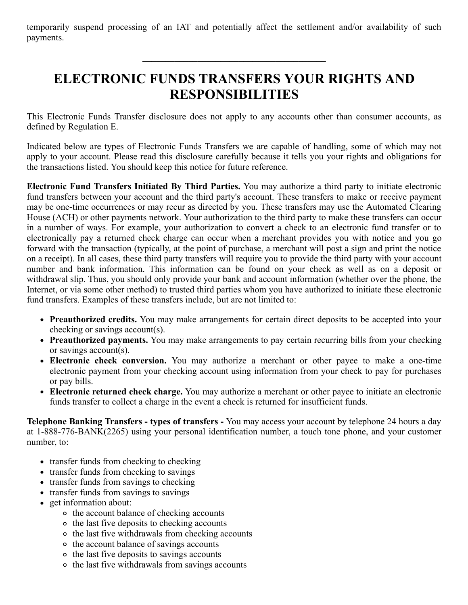temporarily suspend processing of an IAT and potentially affect the settlement and/or availability of such payments.

# **ELECTRONIC FUNDS TRANSFERS YOUR RIGHTS AND RESPONSIBILITIES**

This Electronic Funds Transfer disclosure does not apply to any accounts other than consumer accounts, as defined by Regulation E.

Indicated below are types of Electronic Funds Transfers we are capable of handling, some of which may not apply to your account. Please read this disclosure carefully because it tells you your rights and obligations for the transactions listed. You should keep this notice for future reference.

**Electronic Fund Transfers Initiated By Third Parties.** You may authorize a third party to initiate electronic fund transfers between your account and the third party's account. These transfers to make or receive payment may be one-time occurrences or may recur as directed by you. These transfers may use the Automated Clearing House (ACH) or other payments network. Your authorization to the third party to make these transfers can occur in a number of ways. For example, your authorization to convert a check to an electronic fund transfer or to electronically pay a returned check charge can occur when a merchant provides you with notice and you go forward with the transaction (typically, at the point of purchase, a merchant will post a sign and print the notice on a receipt). In all cases, these third party transfers will require you to provide the third party with your account number and bank information. This information can be found on your check as well as on a deposit or withdrawal slip. Thus, you should only provide your bank and account information (whether over the phone, the Internet, or via some other method) to trusted third parties whom you have authorized to initiate these electronic fund transfers. Examples of these transfers include, but are not limited to:

- **Preauthorized credits.** You may make arrangements for certain direct deposits to be accepted into your checking or savings account(s).
- **Preauthorized payments.** You may make arrangements to pay certain recurring bills from your checking or savings account(s).
- **Electronic check conversion.** You may authorize a merchant or other payee to make a one-time electronic payment from your checking account using information from your check to pay for purchases or pay bills.
- **Electronic returned check charge.** You may authorize a merchant or other payee to initiate an electronic funds transfer to collect a charge in the event a check is returned for insufficient funds.

**Telephone Banking Transfers - types of transfers -** You may access your account by telephone 24 hours a day at 1-888-776-BANK(2265) using your personal identification number, a touch tone phone, and your customer number, to:

- transfer funds from checking to checking
- transfer funds from checking to savings
- transfer funds from savings to checking
- transfer funds from savings to savings
- get information about:
	- o the account balance of checking accounts
	- o the last five deposits to checking accounts
	- o the last five withdrawals from checking accounts
	- o the account balance of savings accounts
	- o the last five deposits to savings accounts
	- o the last five withdrawals from savings accounts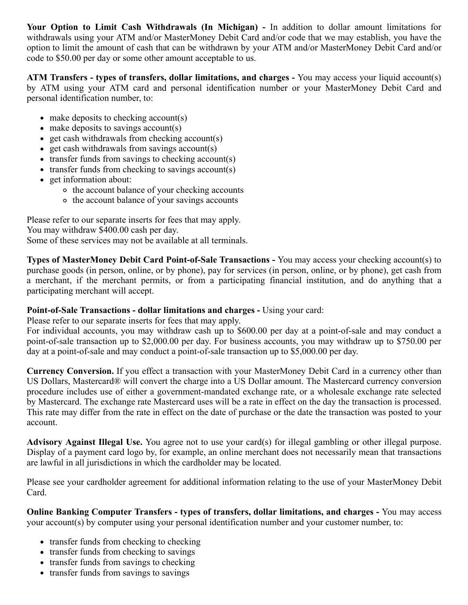**Your Option to Limit Cash Withdrawals (In Michigan) -** In addition to dollar amount limitations for withdrawals using your ATM and/or MasterMoney Debit Card and/or code that we may establish, you have the option to limit the amount of cash that can be withdrawn by your ATM and/or MasterMoney Debit Card and/or code to \$50.00 per day or some other amount acceptable to us.

**ATM Transfers - types of transfers, dollar limitations, and charges -** You may access your liquid account(s) by ATM using your ATM card and personal identification number or your MasterMoney Debit Card and personal identification number, to:

- make deposits to checking account(s)
- make deposits to savings account(s)
- $\bullet$  get cash withdrawals from checking account(s)
- $\bullet$  get cash withdrawals from savings account(s)
- transfer funds from savings to checking account(s)
- $\bullet$  transfer funds from checking to savings account(s)
- get information about:
	- o the account balance of your checking accounts
	- o the account balance of your savings accounts

Please refer to our separate inserts for fees that may apply. You may withdraw \$400.00 cash per day.

Some of these services may not be available at all terminals.

**Types of MasterMoney Debit Card Point-of-Sale Transactions -** You may access your checking account(s) to purchase goods (in person, online, or by phone), pay for services (in person, online, or by phone), get cash from a merchant, if the merchant permits, or from a participating financial institution, and do anything that a participating merchant will accept.

## **Point-of-Sale Transactions - dollar limitations and charges - Using your card:**

Please refer to our separate inserts for fees that may apply.

For individual accounts, you may withdraw cash up to \$600.00 per day at a point-of-sale and may conduct a point-of-sale transaction up to \$2,000.00 per day. For business accounts, you may withdraw up to \$750.00 per day at a point-of-sale and may conduct a point-of-sale transaction up to \$5,000.00 per day.

**Currency Conversion.** If you effect a transaction with your MasterMoney Debit Card in a currency other than US Dollars, Mastercard® will convert the charge into a US Dollar amount. The Mastercard currency conversion procedure includes use of either a government-mandated exchange rate, or a wholesale exchange rate selected by Mastercard. The exchange rate Mastercard uses will be a rate in effect on the day the transaction is processed. This rate may differ from the rate in effect on the date of purchase or the date the transaction was posted to your account.

**Advisory Against Illegal Use.** You agree not to use your card(s) for illegal gambling or other illegal purpose. Display of a payment card logo by, for example, an online merchant does not necessarily mean that transactions are lawful in all jurisdictions in which the cardholder may be located.

Please see your cardholder agreement for additional information relating to the use of your MasterMoney Debit Card.

**Online Banking Computer Transfers - types of transfers, dollar limitations, and charges -** You may access your account(s) by computer using your personal identification number and your customer number, to:

- transfer funds from checking to checking
- transfer funds from checking to savings
- transfer funds from savings to checking
- transfer funds from savings to savings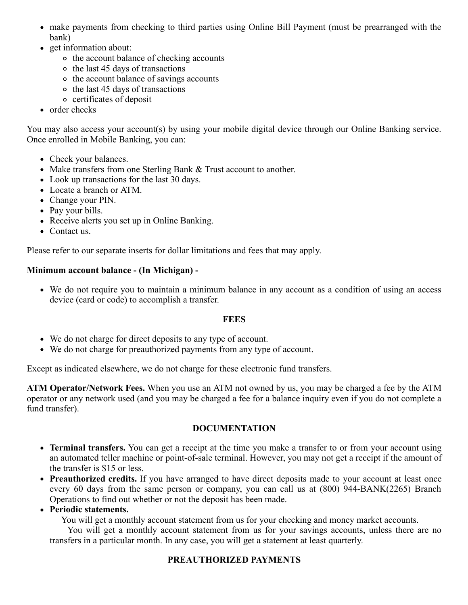- make payments from checking to third parties using Online Bill Payment (must be prearranged with the bank)
- get information about:
	- o the account balance of checking accounts
	- $\circ$  the last 45 days of transactions
	- o the account balance of savings accounts
	- $\circ$  the last 45 days of transactions
	- certificates of deposit
- order checks

You may also access your account(s) by using your mobile digital device through our Online Banking service. Once enrolled in Mobile Banking, you can:

- Check your balances.
- Make transfers from one Sterling Bank & Trust account to another.
- Look up transactions for the last 30 days.
- Locate a branch or ATM.
- Change your PIN.
- Pay your bills.
- Receive alerts you set up in Online Banking.
- Contact us.

Please refer to our separate inserts for dollar limitations and fees that may apply.

## **Minimum account balance - (In Michigan) -**

We do not require you to maintain a minimum balance in any account as a condition of using an access device (card or code) to accomplish a transfer.

# **FEES**

- We do not charge for direct deposits to any type of account.
- We do not charge for preauthorized payments from any type of account.

Except as indicated elsewhere, we do not charge for these electronic fund transfers.

**ATM Operator/Network Fees.** When you use an ATM not owned by us, you may be charged a fee by the ATM operator or any network used (and you may be charged a fee for a balance inquiry even if you do not complete a fund transfer).

# **DOCUMENTATION**

- **Terminal transfers.** You can get a receipt at the time you make a transfer to or from your account using an automated teller machine or point-of-sale terminal. However, you may not get a receipt if the amount of the transfer is \$15 or less.
- **Preauthorized credits.** If you have arranged to have direct deposits made to your account at least once every 60 days from the same person or company, you can call us at (800) 944-BANK(2265) Branch Operations to find out whether or not the deposit has been made.

# **Periodic statements.**

You will get a monthly account statement from us for your checking and money market accounts.

You will get a monthly account statement from us for your savings accounts, unless there are no transfers in a particular month. In any case, you will get a statement at least quarterly.

# **PREAUTHORIZED PAYMENTS**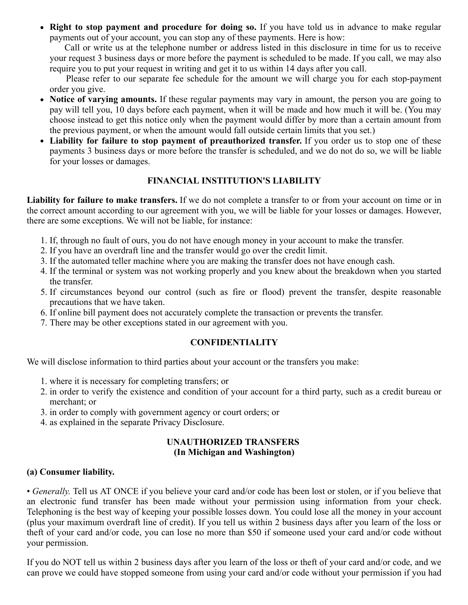**Right to stop payment and procedure for doing so.** If you have told us in advance to make regular payments out of your account, you can stop any of these payments. Here is how:

Call or write us at the telephone number or address listed in this disclosure in time for us to receive your request 3 business days or more before the payment is scheduled to be made. If you call, we may also require you to put your request in writing and get it to us within 14 days after you call.

Please refer to our separate fee schedule for the amount we will charge you for each stop-payment order you give.

- **Notice of varying amounts.** If these regular payments may vary in amount, the person you are going to pay will tell you, 10 days before each payment, when it will be made and how much it will be. (You may choose instead to get this notice only when the payment would differ by more than a certain amount from the previous payment, or when the amount would fall outside certain limits that you set.)
- **Liability for failure to stop payment of preauthorized transfer.** If you order us to stop one of these payments 3 business days or more before the transfer is scheduled, and we do not do so, we will be liable for your losses or damages.

## **FINANCIAL INSTITUTION'S LIABILITY**

**Liability for failure to make transfers.** If we do not complete a transfer to or from your account on time or in the correct amount according to our agreement with you, we will be liable for your losses or damages. However, there are some exceptions. We will not be liable, for instance:

- 1. If, through no fault of ours, you do not have enough money in your account to make the transfer.
- 2. If you have an overdraft line and the transfer would go over the credit limit.
- 3. If the automated teller machine where you are making the transfer does not have enough cash.
- 4. If the terminal or system was not working properly and you knew about the breakdown when you started the transfer.
- 5. If circumstances beyond our control (such as fire or flood) prevent the transfer, despite reasonable precautions that we have taken.
- 6. If online bill payment does not accurately complete the transaction or prevents the transfer.
- 7. There may be other exceptions stated in our agreement with you.

## **CONFIDENTIALITY**

We will disclose information to third parties about your account or the transfers you make:

- 1. where it is necessary for completing transfers; or
- 2. in order to verify the existence and condition of your account for a third party, such as a credit bureau or merchant; or
- 3. in order to comply with government agency or court orders; or
- 4. as explained in the separate Privacy Disclosure.

#### **UNAUTHORIZED TRANSFERS (In Michigan and Washington)**

## **(a) Consumer liability.**

• *Generally.* Tell us AT ONCE if you believe your card and/or code has been lost or stolen, or if you believe that an electronic fund transfer has been made without your permission using information from your check. Telephoning is the best way of keeping your possible losses down. You could lose all the money in your account (plus your maximum overdraft line of credit). If you tell us within 2 business days after you learn of the loss or theft of your card and/or code, you can lose no more than \$50 if someone used your card and/or code without your permission.

If you do NOT tell us within 2 business days after you learn of the loss or theft of your card and/or code, and we can prove we could have stopped someone from using your card and/or code without your permission if you had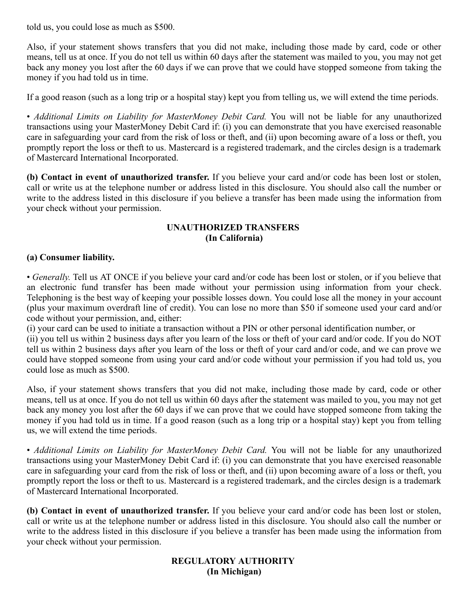told us, you could lose as much as \$500.

Also, if your statement shows transfers that you did not make, including those made by card, code or other means, tell us at once. If you do not tell us within 60 days after the statement was mailed to you, you may not get back any money you lost after the 60 days if we can prove that we could have stopped someone from taking the money if you had told us in time.

If a good reason (such as a long trip or a hospital stay) kept you from telling us, we will extend the time periods.

• *Additional Limits on Liability for MasterMoney Debit Card.* You will not be liable for any unauthorized transactions using your MasterMoney Debit Card if: (i) you can demonstrate that you have exercised reasonable care in safeguarding your card from the risk of loss or theft, and (ii) upon becoming aware of a loss or theft, you promptly report the loss or theft to us. Mastercard is a registered trademark, and the circles design is a trademark of Mastercard International Incorporated.

**(b) Contact in event of unauthorized transfer.** If you believe your card and/or code has been lost or stolen, call or write us at the telephone number or address listed in this disclosure. You should also call the number or write to the address listed in this disclosure if you believe a transfer has been made using the information from your check without your permission.

## **UNAUTHORIZED TRANSFERS (In California)**

## **(a) Consumer liability.**

• *Generally.* Tell us AT ONCE if you believe your card and/or code has been lost or stolen, or if you believe that an electronic fund transfer has been made without your permission using information from your check. Telephoning is the best way of keeping your possible losses down. You could lose all the money in your account (plus your maximum overdraft line of credit). You can lose no more than \$50 if someone used your card and/or code without your permission, and, either:

(i) your card can be used to initiate a transaction without a PIN or other personal identification number, or

(ii) you tell us within 2 business days after you learn of the loss or theft of your card and/or code. If you do NOT tell us within 2 business days after you learn of the loss or theft of your card and/or code, and we can prove we could have stopped someone from using your card and/or code without your permission if you had told us, you could lose as much as \$500.

Also, if your statement shows transfers that you did not make, including those made by card, code or other means, tell us at once. If you do not tell us within 60 days after the statement was mailed to you, you may not get back any money you lost after the 60 days if we can prove that we could have stopped someone from taking the money if you had told us in time. If a good reason (such as a long trip or a hospital stay) kept you from telling us, we will extend the time periods.

• *Additional Limits on Liability for MasterMoney Debit Card.* You will not be liable for any unauthorized transactions using your MasterMoney Debit Card if: (i) you can demonstrate that you have exercised reasonable care in safeguarding your card from the risk of loss or theft, and (ii) upon becoming aware of a loss or theft, you promptly report the loss or theft to us. Mastercard is a registered trademark, and the circles design is a trademark of Mastercard International Incorporated.

**(b) Contact in event of unauthorized transfer.** If you believe your card and/or code has been lost or stolen, call or write us at the telephone number or address listed in this disclosure. You should also call the number or write to the address listed in this disclosure if you believe a transfer has been made using the information from your check without your permission.

## **REGULATORY AUTHORITY (In Michigan)**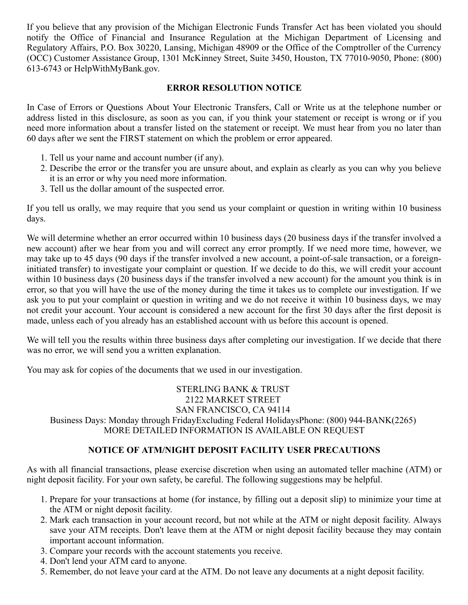If you believe that any provision of the Michigan Electronic Funds Transfer Act has been violated you should notify the Office of Financial and Insurance Regulation at the Michigan Department of Licensing and Regulatory Affairs, P.O. Box 30220, Lansing, Michigan 48909 or the Office of the Comptroller of the Currency (OCC) Customer Assistance Group, 1301 McKinney Street, Suite 3450, Houston, TX 77010-9050, Phone: (800) 613-6743 or HelpWithMyBank.gov.

#### **ERROR RESOLUTION NOTICE**

In Case of Errors or Questions About Your Electronic Transfers, Call or Write us at the telephone number or address listed in this disclosure, as soon as you can, if you think your statement or receipt is wrong or if you need more information about a transfer listed on the statement or receipt. We must hear from you no later than 60 days after we sent the FIRST statement on which the problem or error appeared.

- 1. Tell us your name and account number (if any).
- 2. Describe the error or the transfer you are unsure about, and explain as clearly as you can why you believe it is an error or why you need more information.
- 3. Tell us the dollar amount of the suspected error.

If you tell us orally, we may require that you send us your complaint or question in writing within 10 business days.

We will determine whether an error occurred within 10 business days (20 business days if the transfer involved a new account) after we hear from you and will correct any error promptly. If we need more time, however, we may take up to 45 days (90 days if the transfer involved a new account, a point-of-sale transaction, or a foreigninitiated transfer) to investigate your complaint or question. If we decide to do this, we will credit your account within 10 business days (20 business days if the transfer involved a new account) for the amount you think is in error, so that you will have the use of the money during the time it takes us to complete our investigation. If we ask you to put your complaint or question in writing and we do not receive it within 10 business days, we may not credit your account. Your account is considered a new account for the first 30 days after the first deposit is made, unless each of you already has an established account with us before this account is opened.

We will tell you the results within three business days after completing our investigation. If we decide that there was no error, we will send you a written explanation.

You may ask for copies of the documents that we used in our investigation.

STERLING BANK & TRUST 2122 MARKET STREET SAN FRANCISCO, CA 94114 Business Days: Monday through FridayExcluding Federal HolidaysPhone: (800) 944-BANK(2265) MORE DETAILED INFORMATION IS AVAILABLE ON REQUEST

## **NOTICE OF ATM/NIGHT DEPOSIT FACILITY USER PRECAUTIONS**

As with all financial transactions, please exercise discretion when using an automated teller machine (ATM) or night deposit facility. For your own safety, be careful. The following suggestions may be helpful.

- 1. Prepare for your transactions at home (for instance, by filling out a deposit slip) to minimize your time at the ATM or night deposit facility.
- 2. Mark each transaction in your account record, but not while at the ATM or night deposit facility. Always save your ATM receipts. Don't leave them at the ATM or night deposit facility because they may contain important account information.
- 3. Compare your records with the account statements you receive.
- 4. Don't lend your ATM card to anyone.
- 5. Remember, do not leave your card at the ATM. Do not leave any documents at a night deposit facility.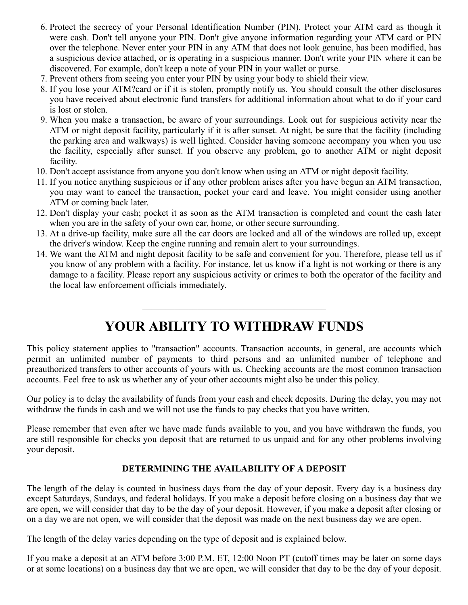- 6. Protect the secrecy of your Personal Identification Number (PIN). Protect your ATM card as though it were cash. Don't tell anyone your PIN. Don't give anyone information regarding your ATM card or PIN over the telephone. Never enter your PIN in any ATM that does not look genuine, has been modified, has a suspicious device attached, or is operating in a suspicious manner. Don't write your PIN where it can be discovered. For example, don't keep a note of your PIN in your wallet or purse.
- 7. Prevent others from seeing you enter your PIN by using your body to shield their view.
- 8. If you lose your ATM?card or if it is stolen, promptly notify us. You should consult the other disclosures you have received about electronic fund transfers for additional information about what to do if your card is lost or stolen.
- 9. When you make a transaction, be aware of your surroundings. Look out for suspicious activity near the ATM or night deposit facility, particularly if it is after sunset. At night, be sure that the facility (including the parking area and walkways) is well lighted. Consider having someone accompany you when you use the facility, especially after sunset. If you observe any problem, go to another ATM or night deposit facility.
- 10. Don't accept assistance from anyone you don't know when using an ATM or night deposit facility.
- 11. If you notice anything suspicious or if any other problem arises after you have begun an ATM transaction, you may want to cancel the transaction, pocket your card and leave. You might consider using another ATM or coming back later.
- 12. Don't display your cash; pocket it as soon as the ATM transaction is completed and count the cash later when you are in the safety of your own car, home, or other secure surrounding.
- 13. At a drive-up facility, make sure all the car doors are locked and all of the windows are rolled up, except the driver's window. Keep the engine running and remain alert to your surroundings.
- 14. We want the ATM and night deposit facility to be safe and convenient for you. Therefore, please tell us if you know of any problem with a facility. For instance, let us know if a light is not working or there is any damage to a facility. Please report any suspicious activity or crimes to both the operator of the facility and the local law enforcement officials immediately.

# **YOUR ABILITY TO WITHDRAW FUNDS**

This policy statement applies to "transaction" accounts. Transaction accounts, in general, are accounts which permit an unlimited number of payments to third persons and an unlimited number of telephone and preauthorized transfers to other accounts of yours with us. Checking accounts are the most common transaction accounts. Feel free to ask us whether any of your other accounts might also be under this policy.

Our policy is to delay the availability of funds from your cash and check deposits. During the delay, you may not withdraw the funds in cash and we will not use the funds to pay checks that you have written.

Please remember that even after we have made funds available to you, and you have withdrawn the funds, you are still responsible for checks you deposit that are returned to us unpaid and for any other problems involving your deposit.

## **DETERMINING THE AVAILABILITY OF A DEPOSIT**

The length of the delay is counted in business days from the day of your deposit. Every day is a business day except Saturdays, Sundays, and federal holidays. If you make a deposit before closing on a business day that we are open, we will consider that day to be the day of your deposit. However, if you make a deposit after closing or on a day we are not open, we will consider that the deposit was made on the next business day we are open.

The length of the delay varies depending on the type of deposit and is explained below.

If you make a deposit at an ATM before 3:00 P.M. ET, 12:00 Noon PT (cutoff times may be later on some days or at some locations) on a business day that we are open, we will consider that day to be the day of your deposit.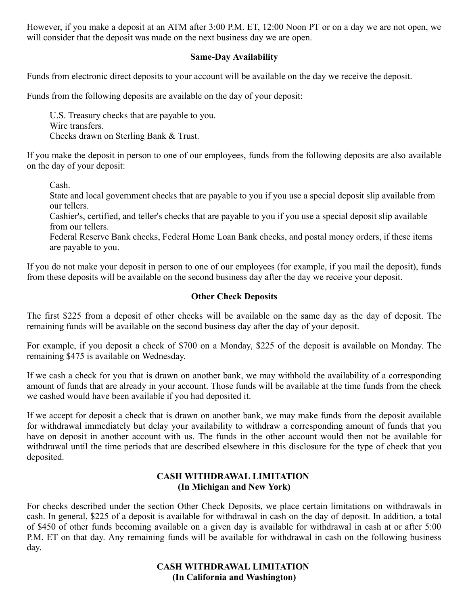However, if you make a deposit at an ATM after 3:00 P.M. ET, 12:00 Noon PT or on a day we are not open, we will consider that the deposit was made on the next business day we are open.

#### **Same-Day Availability**

Funds from electronic direct deposits to your account will be available on the day we receive the deposit.

Funds from the following deposits are available on the day of your deposit:

U.S. Treasury checks that are payable to you. Wire transfers. Checks drawn on Sterling Bank & Trust.

If you make the deposit in person to one of our employees, funds from the following deposits are also available on the day of your deposit:

Cash.

State and local government checks that are payable to you if you use a special deposit slip available from our tellers.

Cashier's, certified, and teller's checks that are payable to you if you use a special deposit slip available from our tellers.

Federal Reserve Bank checks, Federal Home Loan Bank checks, and postal money orders, if these items are payable to you.

If you do not make your deposit in person to one of our employees (for example, if you mail the deposit), funds from these deposits will be available on the second business day after the day we receive your deposit.

#### **Other Check Deposits**

The first \$225 from a deposit of other checks will be available on the same day as the day of deposit. The remaining funds will be available on the second business day after the day of your deposit.

For example, if you deposit a check of \$700 on a Monday, \$225 of the deposit is available on Monday. The remaining \$475 is available on Wednesday.

If we cash a check for you that is drawn on another bank, we may withhold the availability of a corresponding amount of funds that are already in your account. Those funds will be available at the time funds from the check we cashed would have been available if you had deposited it.

If we accept for deposit a check that is drawn on another bank, we may make funds from the deposit available for withdrawal immediately but delay your availability to withdraw a corresponding amount of funds that you have on deposit in another account with us. The funds in the other account would then not be available for withdrawal until the time periods that are described elsewhere in this disclosure for the type of check that you deposited.

#### **CASH WITHDRAWAL LIMITATION (In Michigan and New York)**

For checks described under the section Other Check Deposits, we place certain limitations on withdrawals in cash. In general, \$225 of a deposit is available for withdrawal in cash on the day of deposit. In addition, a total of \$450 of other funds becoming available on a given day is available for withdrawal in cash at or after 5:00 P.M. ET on that day. Any remaining funds will be available for withdrawal in cash on the following business day.

## **CASH WITHDRAWAL LIMITATION (In California and Washington)**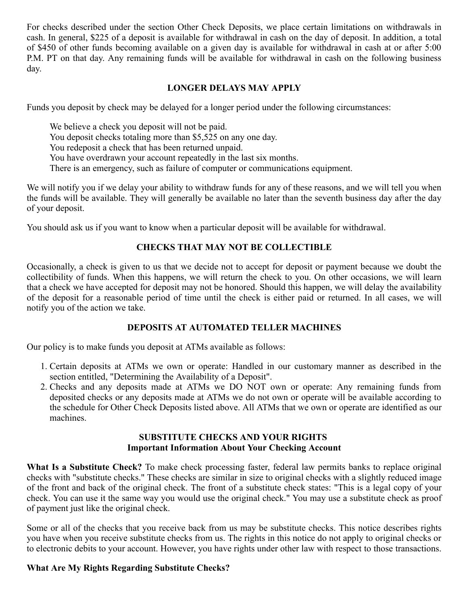For checks described under the section Other Check Deposits, we place certain limitations on withdrawals in cash. In general, \$225 of a deposit is available for withdrawal in cash on the day of deposit. In addition, a total of \$450 of other funds becoming available on a given day is available for withdrawal in cash at or after 5:00 P.M. PT on that day. Any remaining funds will be available for withdrawal in cash on the following business day.

## **LONGER DELAYS MAY APPLY**

Funds you deposit by check may be delayed for a longer period under the following circumstances:

We believe a check you deposit will not be paid. You deposit checks totaling more than \$5,525 on any one day. You redeposit a check that has been returned unpaid. You have overdrawn your account repeatedly in the last six months. There is an emergency, such as failure of computer or communications equipment.

We will notify you if we delay your ability to withdraw funds for any of these reasons, and we will tell you when the funds will be available. They will generally be available no later than the seventh business day after the day of your deposit.

You should ask us if you want to know when a particular deposit will be available for withdrawal.

## **CHECKS THAT MAY NOT BE COLLECTIBLE**

Occasionally, a check is given to us that we decide not to accept for deposit or payment because we doubt the collectibility of funds. When this happens, we will return the check to you. On other occasions, we will learn that a check we have accepted for deposit may not be honored. Should this happen, we will delay the availability of the deposit for a reasonable period of time until the check is either paid or returned. In all cases, we will notify you of the action we take.

## **DEPOSITS AT AUTOMATED TELLER MACHINES**

Our policy is to make funds you deposit at ATMs available as follows:

- 1. Certain deposits at ATMs we own or operate: Handled in our customary manner as described in the section entitled, "Determining the Availability of a Deposit".
- 2. Checks and any deposits made at ATMs we DO NOT own or operate: Any remaining funds from deposited checks or any deposits made at ATMs we do not own or operate will be available according to the schedule for Other Check Deposits listed above. All ATMs that we own or operate are identified as our machines.

#### **SUBSTITUTE CHECKS AND YOUR RIGHTS Important Information About Your Checking Account**

**What Is a Substitute Check?** To make check processing faster, federal law permits banks to replace original checks with "substitute checks." These checks are similar in size to original checks with a slightly reduced image of the front and back of the original check. The front of a substitute check states: "This is a legal copy of your check. You can use it the same way you would use the original check." You may use a substitute check as proof of payment just like the original check.

Some or all of the checks that you receive back from us may be substitute checks. This notice describes rights you have when you receive substitute checks from us. The rights in this notice do not apply to original checks or to electronic debits to your account. However, you have rights under other law with respect to those transactions.

#### **What Are My Rights Regarding Substitute Checks?**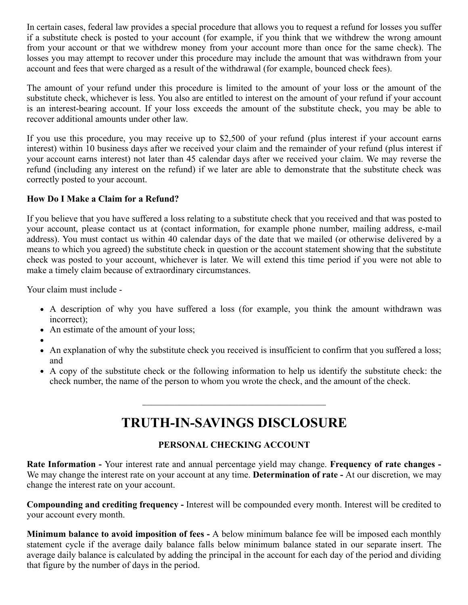In certain cases, federal law provides a special procedure that allows you to request a refund for losses you suffer if a substitute check is posted to your account (for example, if you think that we withdrew the wrong amount from your account or that we withdrew money from your account more than once for the same check). The losses you may attempt to recover under this procedure may include the amount that was withdrawn from your account and fees that were charged as a result of the withdrawal (for example, bounced check fees).

The amount of your refund under this procedure is limited to the amount of your loss or the amount of the substitute check, whichever is less. You also are entitled to interest on the amount of your refund if your account is an interest-bearing account. If your loss exceeds the amount of the substitute check, you may be able to recover additional amounts under other law.

If you use this procedure, you may receive up to \$2,500 of your refund (plus interest if your account earns interest) within 10 business days after we received your claim and the remainder of your refund (plus interest if your account earns interest) not later than 45 calendar days after we received your claim. We may reverse the refund (including any interest on the refund) if we later are able to demonstrate that the substitute check was correctly posted to your account.

## **How Do I Make a Claim for a Refund?**

If you believe that you have suffered a loss relating to a substitute check that you received and that was posted to your account, please contact us at (contact information, for example phone number, mailing address, e-mail address). You must contact us within 40 calendar days of the date that we mailed (or otherwise delivered by a means to which you agreed) the substitute check in question or the account statement showing that the substitute check was posted to your account, whichever is later. We will extend this time period if you were not able to make a timely claim because of extraordinary circumstances.

Your claim must include -

- A description of why you have suffered a loss (for example, you think the amount withdrawn was incorrect);
- An estimate of the amount of your loss;
- 
- An explanation of why the substitute check you received is insufficient to confirm that you suffered a loss; and
- A copy of the substitute check or the following information to help us identify the substitute check: the check number, the name of the person to whom you wrote the check, and the amount of the check.

# **TRUTH-IN-SAVINGS DISCLOSURE**

# **PERSONAL CHECKING ACCOUNT**

**Rate Information -** Your interest rate and annual percentage yield may change. **Frequency of rate changes -** We may change the interest rate on your account at any time. **Determination of rate -** At our discretion, we may change the interest rate on your account.

**Compounding and crediting frequency -** Interest will be compounded every month. Interest will be credited to your account every month.

**Minimum balance to avoid imposition of fees -** A below minimum balance fee will be imposed each monthly statement cycle if the average daily balance falls below minimum balance stated in our separate insert. The average daily balance is calculated by adding the principal in the account for each day of the period and dividing that figure by the number of days in the period.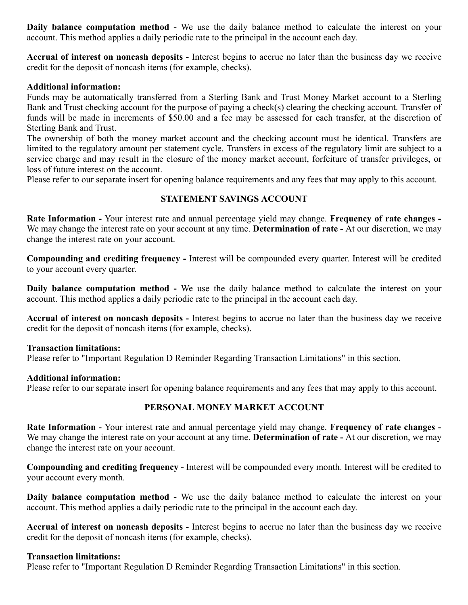**Daily balance computation method -** We use the daily balance method to calculate the interest on your account. This method applies a daily periodic rate to the principal in the account each day.

**Accrual of interest on noncash deposits -** Interest begins to accrue no later than the business day we receive credit for the deposit of noncash items (for example, checks).

#### **Additional information:**

Funds may be automatically transferred from a Sterling Bank and Trust Money Market account to a Sterling Bank and Trust checking account for the purpose of paying a check(s) clearing the checking account. Transfer of funds will be made in increments of \$50.00 and a fee may be assessed for each transfer, at the discretion of Sterling Bank and Trust.

The ownership of both the money market account and the checking account must be identical. Transfers are limited to the regulatory amount per statement cycle. Transfers in excess of the regulatory limit are subject to a service charge and may result in the closure of the money market account, forfeiture of transfer privileges, or loss of future interest on the account.

Please refer to our separate insert for opening balance requirements and any fees that may apply to this account.

## **STATEMENT SAVINGS ACCOUNT**

**Rate Information -** Your interest rate and annual percentage yield may change. **Frequency of rate changes -** We may change the interest rate on your account at any time. **Determination of rate -** At our discretion, we may change the interest rate on your account.

**Compounding and crediting frequency -** Interest will be compounded every quarter. Interest will be credited to your account every quarter.

**Daily balance computation method -** We use the daily balance method to calculate the interest on your account. This method applies a daily periodic rate to the principal in the account each day.

**Accrual of interest on noncash deposits -** Interest begins to accrue no later than the business day we receive credit for the deposit of noncash items (for example, checks).

#### **Transaction limitations:**

Please refer to "Important Regulation D Reminder Regarding Transaction Limitations" in this section.

#### **Additional information:**

Please refer to our separate insert for opening balance requirements and any fees that may apply to this account.

#### **PERSONAL MONEY MARKET ACCOUNT**

**Rate Information -** Your interest rate and annual percentage yield may change. **Frequency of rate changes -** We may change the interest rate on your account at any time. **Determination of rate -** At our discretion, we may change the interest rate on your account.

**Compounding and crediting frequency -** Interest will be compounded every month. Interest will be credited to your account every month.

**Daily balance computation method -** We use the daily balance method to calculate the interest on your account. This method applies a daily periodic rate to the principal in the account each day.

**Accrual of interest on noncash deposits -** Interest begins to accrue no later than the business day we receive credit for the deposit of noncash items (for example, checks).

#### **Transaction limitations:**

Please refer to "Important Regulation D Reminder Regarding Transaction Limitations" in this section.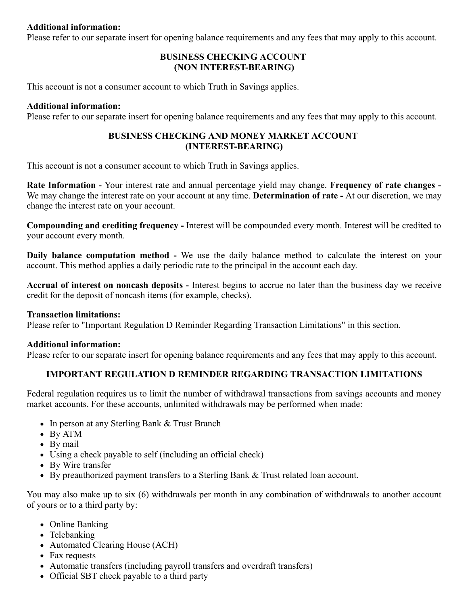#### **Additional information:**

Please refer to our separate insert for opening balance requirements and any fees that may apply to this account.

## **BUSINESS CHECKING ACCOUNT (NON INTEREST-BEARING)**

This account is not a consumer account to which Truth in Savings applies.

#### **Additional information:**

Please refer to our separate insert for opening balance requirements and any fees that may apply to this account.

#### **BUSINESS CHECKING AND MONEY MARKET ACCOUNT (INTEREST-BEARING)**

This account is not a consumer account to which Truth in Savings applies.

**Rate Information -** Your interest rate and annual percentage yield may change. **Frequency of rate changes -** We may change the interest rate on your account at any time. **Determination of rate -** At our discretion, we may change the interest rate on your account.

**Compounding and crediting frequency -** Interest will be compounded every month. Interest will be credited to your account every month.

**Daily balance computation method -** We use the daily balance method to calculate the interest on your account. This method applies a daily periodic rate to the principal in the account each day.

**Accrual of interest on noncash deposits -** Interest begins to accrue no later than the business day we receive credit for the deposit of noncash items (for example, checks).

#### **Transaction limitations:**

Please refer to "Important Regulation D Reminder Regarding Transaction Limitations" in this section.

#### **Additional information:**

Please refer to our separate insert for opening balance requirements and any fees that may apply to this account.

## **IMPORTANT REGULATION D REMINDER REGARDING TRANSACTION LIMITATIONS**

Federal regulation requires us to limit the number of withdrawal transactions from savings accounts and money market accounts. For these accounts, unlimited withdrawals may be performed when made:

- In person at any Sterling Bank & Trust Branch
- By ATM
- By mail
- Using a check payable to self (including an official check)
- By Wire transfer
- By preauthorized payment transfers to a Sterling Bank & Trust related loan account.

You may also make up to six (6) withdrawals per month in any combination of withdrawals to another account of yours or to a third party by:

- Online Banking
- Telebanking
- Automated Clearing House (ACH)
- Fax requests
- Automatic transfers (including payroll transfers and overdraft transfers)
- Official SBT check payable to a third party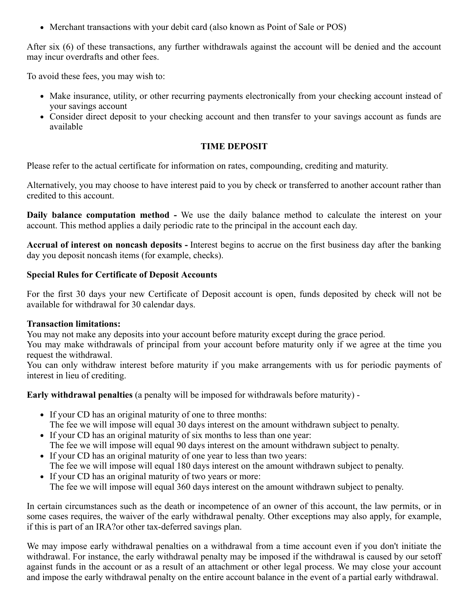• Merchant transactions with your debit card (also known as Point of Sale or POS)

After six (6) of these transactions, any further withdrawals against the account will be denied and the account may incur overdrafts and other fees.

To avoid these fees, you may wish to:

- Make insurance, utility, or other recurring payments electronically from your checking account instead of your savings account
- Consider direct deposit to your checking account and then transfer to your savings account as funds are available

## **TIME DEPOSIT**

Please refer to the actual certificate for information on rates, compounding, crediting and maturity.

Alternatively, you may choose to have interest paid to you by check or transferred to another account rather than credited to this account.

**Daily balance computation method -** We use the daily balance method to calculate the interest on your account. This method applies a daily periodic rate to the principal in the account each day.

**Accrual of interest on noncash deposits -** Interest begins to accrue on the first business day after the banking day you deposit noncash items (for example, checks).

## **Special Rules for Certificate of Deposit Accounts**

For the first 30 days your new Certificate of Deposit account is open, funds deposited by check will not be available for withdrawal for 30 calendar days.

## **Transaction limitations:**

You may not make any deposits into your account before maturity except during the grace period.

You may make withdrawals of principal from your account before maturity only if we agree at the time you request the withdrawal.

You can only withdraw interest before maturity if you make arrangements with us for periodic payments of interest in lieu of crediting.

**Early withdrawal penalties** (a penalty will be imposed for withdrawals before maturity) -

- If your CD has an original maturity of one to three months:
- The fee we will impose will equal 30 days interest on the amount withdrawn subject to penalty.
- If your CD has an original maturity of six months to less than one year: The fee we will impose will equal 90 days interest on the amount withdrawn subject to penalty.
- If your CD has an original maturity of one year to less than two years: The fee we will impose will equal 180 days interest on the amount withdrawn subject to penalty.
- If your CD has an original maturity of two years or more: The fee we will impose will equal 360 days interest on the amount withdrawn subject to penalty.

In certain circumstances such as the death or incompetence of an owner of this account, the law permits, or in some cases requires, the waiver of the early withdrawal penalty. Other exceptions may also apply, for example, if this is part of an IRA?or other tax-deferred savings plan.

We may impose early withdrawal penalties on a withdrawal from a time account even if you don't initiate the withdrawal. For instance, the early withdrawal penalty may be imposed if the withdrawal is caused by our setoff against funds in the account or as a result of an attachment or other legal process. We may close your account and impose the early withdrawal penalty on the entire account balance in the event of a partial early withdrawal.